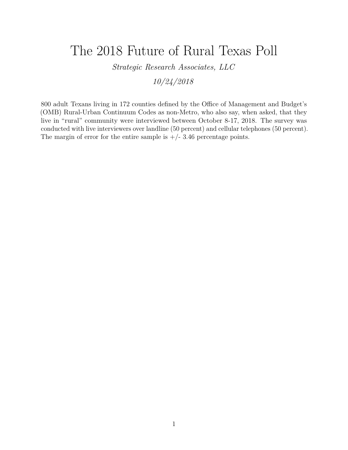# The 2018 Future of Rural Texas Poll

*Strategic Research Associates, LLC*

*10/24/2018*

800 adult Texans living in 172 counties defined by the Office of Management and Budget's (OMB) Rural-Urban Continuum Codes as non-Metro, who also say, when asked, that they live in "rural" community were interviewed between October 8-17, 2018. The survey was conducted with live interviewers over landline (50 percent) and cellular telephones (50 percent). The margin of error for the entire sample is  $+/- 3.46$  percentage points.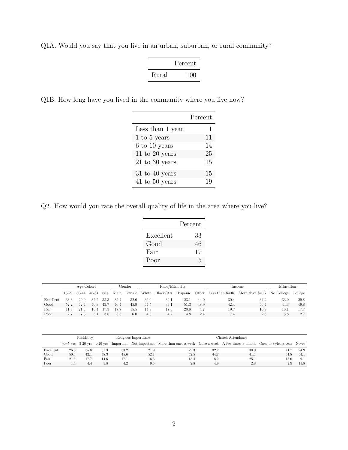Q1A. Would you say that you live in an urban, suburban, or rural community?

|       | Percent |
|-------|---------|
| Rural | 100     |

Q1B. How long have you lived in the community where you live now?

|                    | Percent |
|--------------------|---------|
| Less than 1 year   | 1       |
| $1$ to $5$ years   | 11      |
| 6 to 10 years      | 14      |
| 11 to 20 years     | 25      |
| $21$ to 30 years   | 15      |
| $31$ to $40$ years | 15      |
| $41$ to $50$ years | 19      |

Q2. How would you rate the overall quality of life in the area where you live?

|           | Percent |
|-----------|---------|
| Excellent | 33      |
| Good      | 46      |
| Fair      | 17      |
| Poor      | 5       |

|           | Age Cohort |       |         |       |      | Gender | Race/Ethnicity |      |      |      | Income | Education                                                          |      |         |
|-----------|------------|-------|---------|-------|------|--------|----------------|------|------|------|--------|--------------------------------------------------------------------|------|---------|
|           | 18-29      | 30-44 | $45-64$ | $65+$ | Male | Female | White          |      |      |      |        | Black/AA Hispanic Other Less than \$40K More than \$40K No College |      | College |
| Excellent | 33.3       | 29.0  | 32.2    | 35.3  | 32.4 | 32.6   | 36.0           | 39.1 | 23.1 | 44.0 | 30.4   | 34.2                                                               | 33.9 | 29.8    |
| Good      | 52.2       | 42.4  | 46.3    | 43.7  | 46.4 | 45.9   | 44.5           | 39.1 | 51.3 | 48.9 | 42.4   | 46.4                                                               | 44.3 | 49.8    |
| Fair      | 11.8       | 21.3  | 16.4    |       | 17.7 | 15.5   | 14.8           | 17.6 | 20.8 | 4.7  | 19.7   | 16.9                                                               | 16.1 | 17.7    |
| Poor      |            |       | 5.1     | 3.8   | 3.5  | 6.0    | 4.8            | 4.2  | 4.8  | 2.4  | 7.4    | 2.5                                                                | 5.8  | 2.7     |

|           | Residency |      |      |      | Religious Importance | Church Attendance                                                                                                                           |      |      |      |      |  |  |
|-----------|-----------|------|------|------|----------------------|---------------------------------------------------------------------------------------------------------------------------------------------|------|------|------|------|--|--|
|           |           |      |      |      |                      | $\epsilon$ =5 yrs 5-20 yrs >20 yrs Important Not important More than once a week Once a week A few times a month Once or twice a year Never |      |      |      |      |  |  |
| Excellent | 26.8      | 35.8 | 31.3 | 33.2 | 21.9                 | 29.3                                                                                                                                        | 32.2 | 30.9 | 41.7 | 24.9 |  |  |
| Good      | 50.3      | 42.1 | 48.3 | 45.6 | 52.1                 | 52.5                                                                                                                                        | 44.7 | 41.1 | 41.8 | 54.1 |  |  |
| Fair      | 21.5      | 17.7 | 14.6 | 17.1 | 16.5                 | 15.4                                                                                                                                        | 18.2 | 25.1 | 13.6 | 9.1  |  |  |
| Poor      |           | 4.4  | 5.8  | 4.2  | 9.5                  | 2.8                                                                                                                                         | 4.9  | 2.8  | 2.9  | 11.8 |  |  |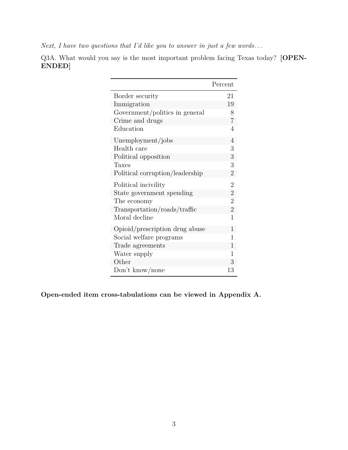*Next, I have two questions that I'd like you to answer in just a few words. . .*

Q3A. What would you say is the most important problem facing Texas today? **[OPEN-ENDED]**

|                                 | Percent        |
|---------------------------------|----------------|
| Border security                 | 21             |
| Immigration                     | 19             |
| Government/politics in general  | 8              |
| Crime and drugs                 | 7              |
| Education                       | 4              |
| Unemployment/jobs               | $\overline{4}$ |
| Health care                     | 3              |
| Political opposition            | 3              |
| <b>Taxes</b>                    | 3              |
| Political corruption/leadership | $\overline{2}$ |
| Political incivility            | $\overline{2}$ |
| State government spending       | $\overline{2}$ |
| The economy                     | $\overline{2}$ |
| Transportation/roads/traffic    | $\overline{2}$ |
| Moral decline                   | 1              |
| Opioid/prescription drug abuse  | 1              |
| Social welfare programs         | 1              |
| Trade agreements                | 1              |
| Water supply                    | 1              |
| Other                           | 3              |
| Don't know/none                 | 13             |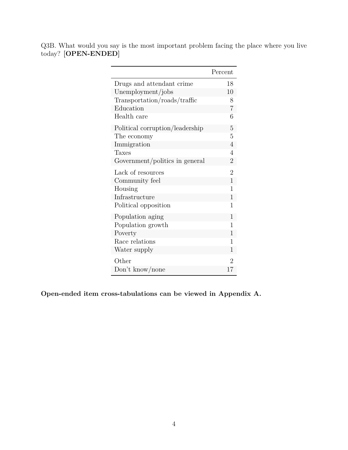Q3B. What would you say is the most important problem facing the place where you live today? **[OPEN-ENDED]**

|                                 | Percent        |
|---------------------------------|----------------|
| Drugs and attendant crime       | 18             |
| Unemployment/jobs               | 10             |
| Transportation/roads/traffic    | 8              |
| Education                       | $\overline{7}$ |
| Health care                     | 6              |
| Political corruption/leadership | 5              |
| The economy                     | 5              |
| Immigration                     | $\overline{4}$ |
| Taxes                           | $\overline{4}$ |
| Government/politics in general  | $\overline{2}$ |
| Lack of resources               | $\overline{2}$ |
| Community feel                  | $\overline{1}$ |
| Housing                         | $\mathbf{1}$   |
| Infrastructure                  | $\mathbf{1}$   |
| Political opposition            | $\overline{1}$ |
| Population aging                | $\overline{1}$ |
| Population growth               | 1              |
| Poverty                         | $\overline{1}$ |
| Race relations                  | 1              |
| Water supply                    | 1              |
| Other                           | $\overline{2}$ |
| Don't know/none                 | 17             |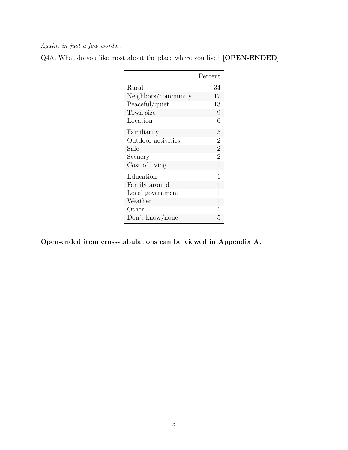*Again, in just a few words. . .*

| Q4A. What do you like most about the place where you live? [OPEN-ENDED] |  |  |  |  |  |
|-------------------------------------------------------------------------|--|--|--|--|--|
|-------------------------------------------------------------------------|--|--|--|--|--|

|                     | Percent        |
|---------------------|----------------|
| Rural               | 34             |
| Neighbors/community | 17             |
| Peaceful/quiet      | 13             |
| Town size           | 9              |
| Location            | 6              |
| Familiarity         | 5              |
| Outdoor activities  | $\overline{2}$ |
| Safe                | $\overline{2}$ |
| Scenery             | $\overline{2}$ |
| Cost of living      | 1              |
| Education           | 1              |
| Family around       | 1              |
| Local government    | 1              |
| Weather             | 1              |
| Other               | 1              |
| Don't know/none     | 5              |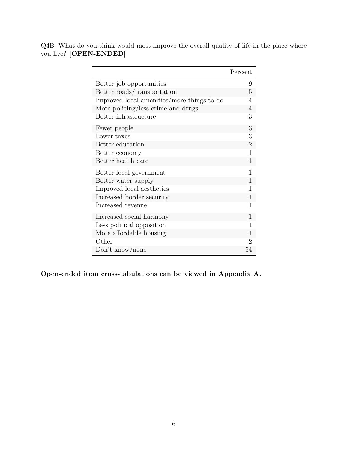Q4B. What do you think would most improve the overall quality of life in the place where you live? **[OPEN-ENDED]**

|                                            | Percent        |
|--------------------------------------------|----------------|
| Better job opportunities                   | 9              |
| Better roads/transportation                | 5              |
| Improved local amenities/more things to do | 4              |
| More policing/less crime and drugs         | 4              |
| Better infrastructure                      | 3              |
| Fewer people                               | 3              |
| Lower taxes                                | 3              |
| Better education                           | $\overline{2}$ |
| Better economy                             |                |
| Better health care                         | $\mathbf{1}$   |
| Better local government                    | 1              |
| Better water supply                        | 1              |
| Improved local aesthetics                  | 1              |
| Increased border security                  | $\mathbf{1}$   |
| Increased revenue                          | 1              |
| Increased social harmony                   | 1              |
| Less political opposition                  | 1              |
| More affordable housing                    | 1              |
| Other                                      | 2              |
| Don't know/none                            | 54             |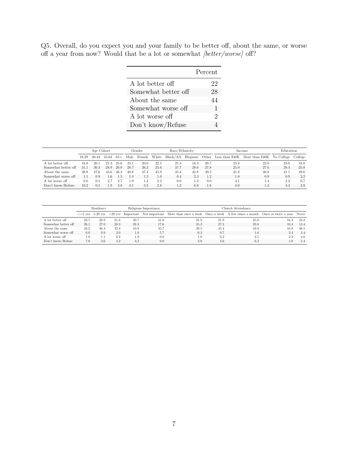Q5. Overall, do you expect you and your family to be better off, about the same, or worse off a year from now? Would that be a lot or somewhat *[better/worse]* off?

|                     | Percent |
|---------------------|---------|
| A lot better off    | 22      |
| Somewhat better off | 28      |
| About the same      | 44      |
| Somewhat worse off  | 1       |
| A lot worse off     | 2       |
| Don't know/Refuse   |         |

|                     | Age Cohort |       |               |       | Gender |        | Race/Ethnicity |      |           | Income | Education |                                                                            |      |      |
|---------------------|------------|-------|---------------|-------|--------|--------|----------------|------|-----------|--------|-----------|----------------------------------------------------------------------------|------|------|
|                     | 18-29      | 30-44 | 45-64         | $65+$ | Male   | Female | White          |      |           |        |           | Black/AA Hispanic Other Less than \$40K More than \$40K No College College |      |      |
| A lot better off    | 18.8       | 20.1  | 21.3          | 25.6  | 23.1   | 20.0   | 22.5           | 25.3 | 18.3      | 29.7   | 23.4      | 22.0                                                                       | 23.0 | 18.8 |
| Somewhat better off | 31.1       | 30.3  | 28.9          | 20.0  | 28.7   | 26.3   | 25.6           | 37.7 | 28.6      | 27.8   | 25.9      | 27.6                                                                       | 28.4 | 25.8 |
| About the same      | 38.8       | 47.6  | 43.6          | 46.3  | 40.8   | 47.4   | 45.9           | 35.4 | 42.8      | 39.5   | 41.8      | 46.8                                                                       | 41.1 | 49.6 |
| Somewhat worse off  | 1.1        | 0.9   | $1.6^{\circ}$ | 1.5   | 1.4    | 1.3    | $1.0\,$        | 0.4  | 2.3       | 1.2    | 1.8       | 0.9                                                                        | 0.9  | 2.2  |
| A lot worse off     | 0.0        | 0.5   |               |       | 1.9    | 1.4    | 2.2            | 0.0  | $\cdot$ 2 | 0.0    | 3.1       | 1.4                                                                        | 2.2  | 0.7  |
| Don't know/Refuse   | 10.2       | 0.5   | 1.9           | 3.8   | 4.1    | 3.5    | 2.8            | 1.2  | 6.8       | 1.8    | 4.0       | 1.3                                                                        | 4.3  | 2.9  |

|                     |      | Residency |      |               | Religious Importance | Church Attendance                                                                                                                           |      |      |      |      |  |  |
|---------------------|------|-----------|------|---------------|----------------------|---------------------------------------------------------------------------------------------------------------------------------------------|------|------|------|------|--|--|
|                     |      |           |      |               |                      | $\epsilon$ =5 yrs 5-20 yrs >20 yrs Important Not important More than once a week Once a week A few times a month Once or twice a year Never |      |      |      |      |  |  |
| A lot better off    | 22.7 | 20.9      | 21.8 | 20.7          | 31.0                 | 21.9                                                                                                                                        | 21.9 | 25.0 | 16.3 | 24.8 |  |  |
| Somewhat better off | 26.1 | 27.0      | 28.3 | 28.3          | 17.6                 | 35.3                                                                                                                                        | 27.3 | 20.8 | 33.3 | 13.4 |  |  |
| About the same      | 43.2 | 46.4      | 42.4 | 43.9          | 45.7                 | 39.5                                                                                                                                        | 45.4 | 43.9 | 44.8 | 48.5 |  |  |
| Somewhat worse off  | 0.0  | 0.9       | 2.0  | $1.0^{\circ}$ | 5.7                  | 0.3                                                                                                                                         | 0.7  | 1.6  | 2.4  | 3.4  |  |  |
| A lot worse off     | 1.0  |           | 2.4  | 1.9           | 0.0                  | 1.0                                                                                                                                         | 0.2  | 2.5  | 2.2  | 4.6  |  |  |
| Don't know/Refuse   | 7.0  | 3.6       | 3.2  | 4.2           | 0.0                  | 2.0                                                                                                                                         | 4.6  | 6.2  | 1.0  | 5.4  |  |  |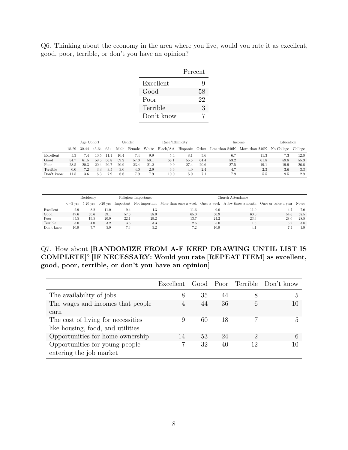Q6. Thinking about the economy in the area where you live, would you rate it as excellent, good, poor, terrible, or don't you have an opinion?

|            | Percent |
|------------|---------|
| Excellent  | g       |
| Good       | 58      |
| Poor       | 22      |
| Terrible   | 3       |
| Don't know |         |

|            | Age Cohort |       |       |       | Race/Ethnicity<br>Gender |        |       |                   |      | Income | Education |                                                  |      |         |
|------------|------------|-------|-------|-------|--------------------------|--------|-------|-------------------|------|--------|-----------|--------------------------------------------------|------|---------|
|            | 18-29      | 30-44 | 45-64 | $65+$ | Male                     | Female | White | Black/AA Hispanic |      |        |           | Other Less than \$40K More than \$40K No College |      | College |
| Excellent  | 5.3        | 7.4   | 10.5  | 11    | 10.4                     | 7.4    | 9.9   | 5.4               | 8.   | 5.6    | 6.7       | 11.3                                             | 7.3  | 12.0    |
| Good       | 54.7       | 61.5  | 59.5  | 56.8  | 59.2                     | 57.3   | 58.1  | 68.1              | 55.5 | 64.4   | 53.2      | 61.8                                             | 59.8 | 55.3    |
| Poor       | 28.5       | 20.3  | 20.4  | 20.7  | 20.9                     | 23.4   | 21.2  | 9.9               | 27.4 | 20.6   | 27.5      | 19.1                                             | 19.9 | 26.6    |
| Terrible   | 0.0        | 7.2   | 3.3   | 3.5   | 3.0                      | 4.0    | 2.9   | 6.6               | 4.0  | 2.4    | 4.7       | 2.3                                              | 3.6  | 3.3     |
| Don't know | 11.5       | 3.6   | 6.3   | 7.9   | -6.6                     | 7.9    | 7.9   | 10.0              | 5.0  | 7.1    | 7.9       | 5.b                                              | 9.5  | 2.9     |

|            |      | Residency                   |      |      | Religious Importance | Church Attendance.                                                                                               |      |      |      |      |  |  |
|------------|------|-----------------------------|------|------|----------------------|------------------------------------------------------------------------------------------------------------------|------|------|------|------|--|--|
|            |      | $\epsilon = 5$ vrs 5-20 vrs |      |      |                      | >20 yrs Important Not important More than once a week Once a week A few times a month Once or twice a year Never |      |      |      |      |  |  |
| Excellent  | 2.9  | 8.2                         | 11.0 | 9.4  | 4.3                  | 11.6                                                                                                             | 9.0  | 11.0 |      | 7.0  |  |  |
| Good       | 47.6 | 60.6                        | 59.1 | 57.6 | 58.0                 | 65.0                                                                                                             | 50.9 | 60.0 | 54.6 | 58.5 |  |  |
| Poor       | 35.5 | 19.5                        | 20.9 | 22.1 | 29.2                 | 13.7                                                                                                             | 24.2 | 23.3 | 28.0 | 28.8 |  |  |
| Terrible   | 3.0  | 4.0                         | 3.2  | 3.6  | 3.3                  | 2.6                                                                                                              | 5.0  | 1.5  | 5.2  | 3.8  |  |  |
| Don't know | 10.9 | 7.7                         | 5.9  | 7.3  | 5.2                  | 7.2                                                                                                              | 10.9 |      |      | 1.9  |  |  |

### Q7. How about **[RANDOMIZE FROM A-F KEEP DRAWING UNTIL LIST IS COMPLETE]**? **[IF NECESSARY: Would you rate [REPEAT ITEM] as excellent, good, poor, terrible, or don't you have an opinion]**

|                                                           | Excellent |    |    |               | Good Poor Terrible Don't know |
|-----------------------------------------------------------|-----------|----|----|---------------|-------------------------------|
| The availability of jobs                                  | 8         | 35 | 44 | 8             | .,                            |
| The wages and incomes that people                         | 4         | 44 | 36 | 6             |                               |
| earn                                                      |           |    |    |               |                               |
| The cost of living for necessities                        | 9         | 60 | 18 |               | h,                            |
| like housing, food, and utilities                         |           |    |    |               |                               |
| Opportunities for home ownership                          | 14        | 53 | 24 | $\mathcal{D}$ | 6                             |
| Opportunities for young people<br>entering the job market |           | 32 | 40 | 12            |                               |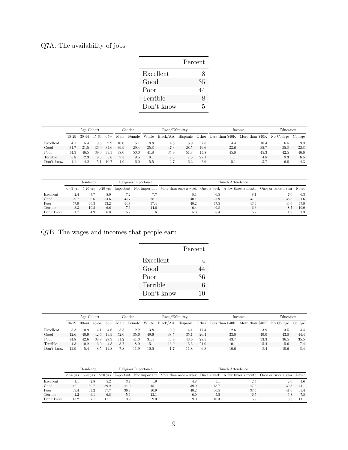## Q7A. The availability of jobs

|            | Percent |
|------------|---------|
| Excellent  | 8       |
| Good       | 35      |
| Poor       | 44      |
| Terrible   | 8       |
| Don't know | 5       |

|            |         | Age Cohort |           |       | Gender |        | Race/Ethnicity |      |      |      | Income | Education                                                          |      |         |
|------------|---------|------------|-----------|-------|--------|--------|----------------|------|------|------|--------|--------------------------------------------------------------------|------|---------|
|            | $18-29$ | 30-44      | $45 - 64$ | $65+$ | Male   | Female | White          |      |      |      |        | Black/AA Hispanic Other Less than \$40K More than \$40K No College |      | College |
| Excellent  | 4.1     | 5.4        | 9.5       | 9.9   | 10.0   | 5.1    | 8.8            | 4.8  | 5.9  | 7.8  | 4.4    | 10.4                                                               | 6.5  | 9.9     |
| Good       | 34.7    | 31.5       | 36.9      | 34.6  | 39.9   | 29.4   | 35.8           | 47.3 | 28.5 | 46.6 | 33.6   | 35.7                                                               | 35.8 | 32.8    |
| Poor       | 54.3    | 46.5       | 39.0      | 39.3  | 38.0   | 50.0   | 41.8           | 35.9 | 51.8 | 15.8 | 45.8   | 45.3                                                               | 42.5 | 46.6    |
| Terrible   | 5.8     | 12.3       | 9.5       | 5.6   | 7.3    | 9.5    | 8.1            | 9.3  | 7.5  | 27.1 | 11.1   | 4.8                                                                | 9.3  | 6.5     |
| Don't know |         | 4.2        | 5.1       | 10.7  | 4.9    | 6.0    | 5.5            | 2.7  | 6.2  | 2.6  | 5.1    | 3.7                                                                | 6.0  | 4.3     |

|            |      | Residency |      |      | Religious Importance | Church Attendance                                                                                                                           |      |      |      |      |  |  |
|------------|------|-----------|------|------|----------------------|---------------------------------------------------------------------------------------------------------------------------------------------|------|------|------|------|--|--|
|            |      |           |      |      |                      | $\epsilon$ =5 yrs 5-20 yrs >20 yrs Important Not important More than once a week Once a week A few times a month Once or twice a year Never |      |      |      |      |  |  |
| Excellent  | 2.4  |           | 8.9  | 7.2  |                      | 8.1                                                                                                                                         | 6.5  | 8.1  | 7.0  | 6.3  |  |  |
| Good       | 29.7 | 36.6      | 34.6 | 34.7 | 38.7                 | 40.1                                                                                                                                        | 27.9 | 37.0 | 38.8 | 31.6 |  |  |
| Poor       | 57.9 | 40.3      | 43.2 | 44.8 | 37.4                 | 40.2                                                                                                                                        | 47.5 | 43.4 | 43.6 | 47.9 |  |  |
| Terrible   | 8.3  | 10.5      | 6.6  | 7.6  | 14.6                 | 6.4                                                                                                                                         | 9.8  | 6.3  | 8.7  | 10.9 |  |  |
| Don't know |      | 4.9       | 6.8  | 5.7  | 1.6                  | 5.3                                                                                                                                         | 8.4  | 5.2  | 1.9  | 3.3  |  |  |

Q7B. The wages and incomes that people earn

|            | Percent |
|------------|---------|
| Excellent  | 4       |
| Good       | 44      |
| Poor       | 36      |
| Terrible   | 6       |
| Don't know | 10      |

|            |       | Age Cohort |       |       |      | Gender | Race/Ethnicity |                   |      |      | Income | Education                                        |      |         |
|------------|-------|------------|-------|-------|------|--------|----------------|-------------------|------|------|--------|--------------------------------------------------|------|---------|
|            | 18-29 | 30-44      | 45-64 | $65+$ | Male | Female | White          | Black/AA Hispanic |      |      |        | Other Less than \$40K More than \$40K No College |      | College |
| Excellent  | 5.3   | 0.9        | 4.1   | 4.6   | 5.3  | 2.2    | 3.8            | 0.0               | 4.1  | 17.4 | 2.6    | 3.9                                              | 3.5  | 4.4     |
| Good       | 42.6  | 40.9       | 42.6  | 49.9  | 52.0 | 35.6   | 49.6           | 38.5              | 35.1 | 26.4 | 33.0   | 49.0                                             | 43.8 | 44.4    |
| Poor       | 34.8  | 42.6       | 38.9  | 27.9  | 31.2 | 41.3   | 31.4           | 45.9              | 43.6 | 28.5 | 43.7   | 33.3                                             | 36.5 | 35.5    |
| Terrible   | 4.3   | 10.2       | 6.0   | 4.8   | 3.7  | 8.9    | 5.1            | 13.9              | 5.5  | 21.0 | 10.1   | 5.4                                              | 5.6  | 7.4     |
| Don't know | 12.9  | 5.4        | 8.5   | 12.8  | 7.8  | 11.9   | 10.0           |                   | 11.8 | 6.8  | 10.6   | 8.4                                              | 10.6 | 8.4     |

|            | Residency |      |      |      | Religious Importance | Church Attendance                                                                                                                           |      |      |      |      |  |  |
|------------|-----------|------|------|------|----------------------|---------------------------------------------------------------------------------------------------------------------------------------------|------|------|------|------|--|--|
|            |           |      |      |      |                      | $\epsilon$ =5 yrs 5-20 yrs >20 yrs Important Not important More than once a week Once a week A few times a month Once or twice a year Never |      |      |      |      |  |  |
| Excellent  |           | 2.8  | 5.2  | 3.7  | 1.9                  | 4.8                                                                                                                                         | -5.1 | 2.4  | 2.0  | 1.6  |  |  |
| Good       | 42.1      | 50.7 | 39.2 | 44.0 | 45.1                 | 39.9                                                                                                                                        | 48.7 | 47.6 | 39.3 | 44.1 |  |  |
| Poor       | 39.4      | 33.2 | 37.7 | 36.8 | 30.9                 | 40.2                                                                                                                                        | 30.5 | 37.5 | 41.6 | 35.4 |  |  |
| Terrible   | 4.2       | 6.1  | 6.8  | 5.6  | 13.1                 | 6.0                                                                                                                                         | 5.5  | 6.5  | 6.8  | 7.8  |  |  |
| Don't know | 13.2      | 7.1  | 11.1 | 9.9  | 9.0                  | 9.0                                                                                                                                         | 10.3 | 5.9  | 10.3 | 11.1 |  |  |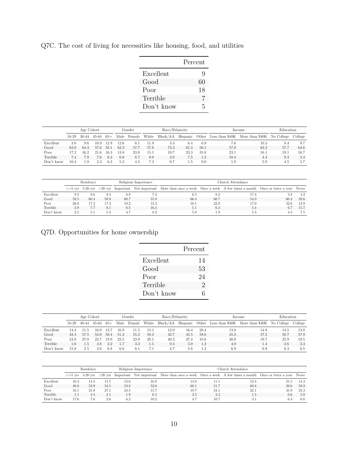|            | Percent |
|------------|---------|
| Excellent  | Q       |
| Good       | 60      |
| Poor       | 18      |
| Terrible   |         |
| Don't know | 5       |

Q7C. The cost of living for necessities like housing, food, and utilities

|            | Age Cohort |       |           |       |      | Gender      |       | Race/Ethnicity |      |      |      | Income                                                    | Education |         |
|------------|------------|-------|-----------|-------|------|-------------|-------|----------------|------|------|------|-----------------------------------------------------------|-----------|---------|
|            | $18-29$    | 30-44 | $45 - 64$ | $65+$ |      | Male Female | White | Black/AA       |      |      |      | Hispanic Other Less than \$40K More than \$40K No College |           | College |
| Excellent  | 3.0        | 9.6   | 10.9      | 12.9  | 12.6 | 6.1         | 11.9  | 3.3            | 6.4  | 6.9  | 7.6  | 10.3                                                      | 9.4       | 9.7     |
| Good       | 62.0       | 64.3  | 57.6      | 58.1  | 62.3 | 57.7        | 57.8  | 73.3           | 61.3 | 56.1 | 57.0 | 63.2                                                      | 57.7      | 64.6    |
| Poor       | 17.2       | 16.2  | 21.6      | 16.3  | 13.8 | 23.0        | 15.1  | 19.7           | 23.3 | 35.8 | 23.1 | 16.1                                                      | 19.1      | 16.7    |
| Terrible   | 7.4        | 7.9   | 7.6       | 6.3   | 6.0  | 8.7         | 8.0   | 3.0            | 7.5  | 1.2  | 10.4 | 4.4                                                       | 9.3       | 3.4     |
| Don't know | 10.4       | 1.9   | 2.3       | 6.3   | 5.2  | 4.5         | 7.3   | 0.7            | 1.5  | 0.0  | 1.9  | 5.9                                                       | 4.5       | 5.7     |

|            | Residency |      |      |      | Religious Importance | Church Attendance.                                                                                                                          |      |      |      |      |  |  |  |
|------------|-----------|------|------|------|----------------------|---------------------------------------------------------------------------------------------------------------------------------------------|------|------|------|------|--|--|--|
|            |           |      |      |      |                      | $\epsilon$ =5 yrs 5-20 yrs >20 yrs Important Not important More than once a week Once a week A few times a month Once or twice a year Never |      |      |      |      |  |  |  |
| Excellent  | 9.2       | 9.6  | 9.4  | 8.9  |                      | 6.5                                                                                                                                         | 8.2  | 17.4 | 5.8  | 4.2  |  |  |  |
| Good       | 59.5      | 60.4 | 59.9 | 60.7 | 55.9                 | 66.4                                                                                                                                        | 60.7 | 54.9 | 60.4 | 59.6 |  |  |  |
| Poor       | 26.0      | 17.2 | 17.2 | 19.2 | 12.3                 | 16.1                                                                                                                                        | 22.9 | 17.0 | 22.6 | 12.9 |  |  |  |
| Terrible   | 2.9       | 7.7  | 8.1  | 6.5  | 16.3                 | 5.1                                                                                                                                         | 6.3  | 5.4  | 6.7  | 15.7 |  |  |  |
| Don't know | 2.5       | 5.1  | 5.3  | 4.7  | 8.2                  | 5.9                                                                                                                                         | 1.9  | 5.3  | 4.5  | 7.5  |  |  |  |

Q7D. Opportunities for home ownership

|            | Percent                     |
|------------|-----------------------------|
| Excellent  | 14                          |
| Good       | 53                          |
| Poor       | 24                          |
| Terrible   | $\mathcal{D}_{\mathcal{L}}$ |
| Don't know | հ                           |

|            | Age Cohort    |       |       |       |      | Gender |       | Race/Ethnicity |          |      |      | Income                                           | Education |         |
|------------|---------------|-------|-------|-------|------|--------|-------|----------------|----------|------|------|--------------------------------------------------|-----------|---------|
|            | 18-29         | 30-44 | 45-64 | $65+$ | Male | Female | White | Black/AA       | Hispanic |      |      | Other Less than \$40K More than \$40K No College |           | College |
| Excellent  | 14.4          | 11.5  | 16.9  | 12.'  | 16.9 | 11.5   | 13.1  | 12.0           | 16.4     | 28.4 | 13.8 | 14.8                                             | 14.5      | 13.8    |
| Good       | 43.4          | 57.5  | 53.0  | 58.4  | 51.2 | 55.2   | 58.2  | 42.7           | 45.5     | 58.6 | 45.3 | 57.2                                             | 50.7      | 57.9    |
| Poor       | 24.8          | 27.0  | 23.7  | 19.9  | 23.5 | 23.9   | 20.1  | 40.2           | 27.4     | 10.6 | 30.0 | 19.7                                             | 25.9      | 19.5    |
| Terrible   | $6.6^{\circ}$ | t.b   | 3.8   | 2.2   | 1.7  | 3.3    | 1.5   | 0.4            | 5.0      | 1.2  | 4.0  |                                                  | 2.6       | 2.3     |
| Don't know | 15.8          | 2.5   | 2.6   | 6.8   | 6.6  | 6.1    |       | 4.7            | 5.8      | 1.2  | 6.9  | 6.9                                              | 6.3       | 6.5     |

|            | Residency |      |      |      | Religious Importance | Church Attendance                                                                                                                           |      |      |      |      |  |  |
|------------|-----------|------|------|------|----------------------|---------------------------------------------------------------------------------------------------------------------------------------------|------|------|------|------|--|--|
|            |           |      |      |      |                      | $\epsilon$ =5 yrs 5-20 yrs >20 yrs Important Not important More than once a week Once a week A few times a month Once or twice a year Never |      |      |      |      |  |  |
| Excellent  | 16.3      | 14.3 | 13.7 | 13.6 | 16.0                 | 13.0                                                                                                                                        | 11.1 | 12.4 | 21.5 | 14.3 |  |  |
| Good       | 48.8      | 52.9 | 54.5 | 53.8 | 52.0                 | 60.1                                                                                                                                        | 51.7 | 60.8 | 39.6 | 50.9 |  |  |
| Poor       | 16.1      | 21.8 | 27.1 | 24.5 | 15.7                 | 19.7                                                                                                                                        | 24.1 | 22.1 | 31.9 | 23.3 |  |  |
| Terrible   |           | 3.4  | 2.1  | 1.9  | 6.1                  | 2.5                                                                                                                                         | 2.3  | 1.5  | 0.6  | 5.0  |  |  |
| Don't know | 17.6      | 7.6  | 2.6  | 6.2  | 10.2                 |                                                                                                                                             | 10.7 | 3.1  | 6.4  | 6.6  |  |  |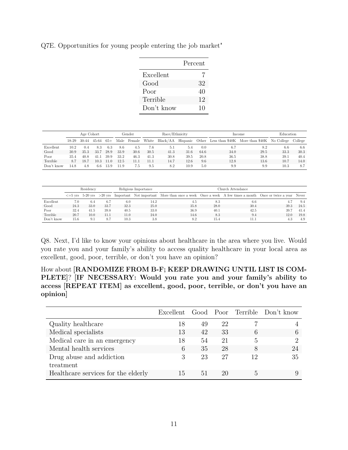|            | Percent |
|------------|---------|
| Excellent  |         |
| Good       | 32      |
| Poor       | 40      |
| Terrible   | 12      |
| Don't know | 10      |

Q7E. Opportunities for young people entering the job market"

|            | Age Cohort |       |       |       |      | Gender |       | Race/Ethnicity |      |      |      | Income                                                             | Education |         |
|------------|------------|-------|-------|-------|------|--------|-------|----------------|------|------|------|--------------------------------------------------------------------|-----------|---------|
|            | $18-29$    | 30-44 | 45-64 | $65+$ | Male | Female | White |                |      |      |      | Black/AA Hispanic Other Less than \$40K More than \$40K No College |           | College |
| Excellent  | 10.2       | 0.4   | 8.3   | 6.3   | 8.6  | 4.5    | 7.6   | 5.1            | 5.4  | 0.0  | 6.7  | 8.2                                                                | 6.6       | 6.6     |
| Good       | 30.9       | 35.3  | 33.7  | 28.9  | 33.9 | 30.6   | 30.5  | 41.3           | 31.6 | 64.6 | 34.0 | 29.5                                                               | 33.3      | 30.3    |
| Poor       | 35.4       | 40.8  | 41.1  | 39.9  | 33.2 | 46.3   | 41.3  | 30.8           | 39.5 | 20.8 | 36.5 | 38.8                                                               | 39.1      | 40.4    |
| Terrible   | 8.7        | 18.7  | 10.3  | 11.0  | 12.5 | 11.1   | 11.1  | 14.7           | 12.6 | 9.6  | 12.8 | 13.6                                                               | 10.7      | 14.0    |
| Don't know | 14.8       | 4.8   | 6.6   | 13.9  | 11.9 | 7.5    | 9.5   | 8.2            | 10.9 | 5.0  | 9.9  | 9.9                                                                | 10.3      | 8.7     |

|            | Residency |                             |      |      | Religious Importance |                                                                                                                  | Church Attendance. |      |      |      |  |  |  |  |
|------------|-----------|-----------------------------|------|------|----------------------|------------------------------------------------------------------------------------------------------------------|--------------------|------|------|------|--|--|--|--|
|            |           | $\epsilon = 5$ vrs 5-20 vrs |      |      |                      | >20 yrs Important Not important More than once a week Once a week A few times a month Once or twice a year Never |                    |      |      |      |  |  |  |  |
| Excellent  | 7.0       | 6.4                         | 6.7  | 6.0  | 14.2                 | 4.5                                                                                                              | 8.3                | 6.6  |      | 9.4  |  |  |  |  |
| Good       | 24.3      | 33.0                        | 33.7 | 32.3 | 25.0                 | 35.8                                                                                                             | 28.0               | 30.4 | 39.3 | 24.5 |  |  |  |  |
| Poor       | 32.4      | 41.5                        | 39.8 | 40.5 | 33.0                 | 36.9                                                                                                             | 40.1               | 42.5 | 39.7 | 41.4 |  |  |  |  |
| Terrible   | 20.7      | 10.0                        | 11.1 | 11.0 | 24.0                 | 14.6                                                                                                             | 8.3                | 9.4  | 12.0 | 19.8 |  |  |  |  |
| Don't know | 15.6      | 9.1                         | 8.7  | 10.3 | 3.8                  | 8.2                                                                                                              | 15.4               | 11.1 | 4.3  | 4.9  |  |  |  |  |

Q8. Next, I'd like to know your opinions about healthcare in the area where you live. Would you rate you and your family's ability to access quality healthcare in your local area as excellent, good, poor, terrible, or don't you have an opinion?

How about **[RANDOMIZE FROM B-F; KEEP DRAWING UNTIL LIST IS COM-PLETE]**? **[IF NECESSARY: Would you rate you and your family's ability to access [REPEAT ITEM] as excellent, good, poor, terrible, or don't you have an opinion]**

|                                     |    |    |    |    | Excellent Good Poor Terrible Don't know |
|-------------------------------------|----|----|----|----|-----------------------------------------|
| Quality healthcare                  | 18 | 49 | 22 |    |                                         |
| Medical specialists                 | 13 | 42 | 33 |    | 6                                       |
| Medical care in an emergency        | 18 | 54 | 21 | 5  | റ                                       |
| Mental health services              | 6  | 35 | 28 |    | 24                                      |
| Drug abuse and addiction            | 3  | 23 | 27 | 12 | 35                                      |
| treatment                           |    |    |    |    |                                         |
| Healthcare services for the elderly | 15 | 51 | 20 | h, |                                         |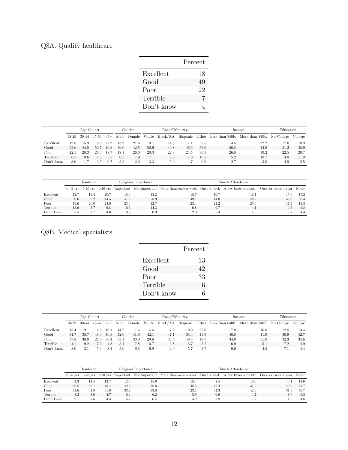# Q8A. Quality healthcare

|            | Percent |
|------------|---------|
| Excellent  | 18      |
| Good       | 49      |
| Poor       | 22      |
| Terrible   | 7       |
| Don't know |         |

|            | Age Cohort |         |       |       |      | Gender |       | Race/Ethnicity |          |          |      | Income                                           | Education |         |
|------------|------------|---------|-------|-------|------|--------|-------|----------------|----------|----------|------|--------------------------------------------------|-----------|---------|
|            | $18-29$    | $30-44$ | 45-64 | $65+$ | Male | Female | White | Black/AA       | Hispanic |          |      | Other Less than \$40K More than \$40K No College |           | College |
| Excellent  | 12.8       | 15.9    | 18.0  | 22.9  | 13.9 | 21.6   | 18.7  | 14.3           | 17.1     | 5.5      | 14.5 | 22.2                                             | 17.0      | 18.9    |
| Good       | 55.6       | 44.5    | 50.7  | 46.3  | 56.0 | 42.5   | 50.6  | 49.8           | 46.6     | 53.6     | 50.8 | 44.9                                             | 51.2      | 45.9    |
| Poor       | 22.1       | 28.3    | 20.3  | 18.   | 18.1 | 26.0   | 20.3  | 22.8           | 24.5     | 30.5     | 26.8 | 19.2                                             | 22.5      | 20.7    |
| Terrible   | 6.5        | 9.6     | 7.5   | 5.5   | 6.5  | 7.9    |       | 8.0            | 7.0      | $10.5\,$ | 5.2  | 10.7                                             | 4.8       | 11.9    |
| Don't know | 3.0        |         | 3.5   | 6.7   | 5.5  | 2.0    | 3.3   | 5.0            |          | 0.0      | 2.7  | 3.0                                              | 4.5       | 2.5     |

|            | Residency |      |      |      | Religious Importance | Church Attendance                                                                                                                              |      |      |      |      |  |  |  |
|------------|-----------|------|------|------|----------------------|------------------------------------------------------------------------------------------------------------------------------------------------|------|------|------|------|--|--|--|
|            |           |      |      |      |                      | $\epsilon$ =5 yrs 5-20 yrs $>$ 20 yrs Important Not important More than once a week Once a week A few times a month Once or twice a year Never |      |      |      |      |  |  |  |
| Excellent  | 12.7      | 15.4 | 20.7 | 18.3 | 13.2                 | 18.7                                                                                                                                           | 16.7 | 18.1 | 15.6 | 17.2 |  |  |  |
| Good       | 50.6      | 55.2 | 44.5 | 47.9 | 58.9                 | 49.1                                                                                                                                           | 44.0 | 48.2 | 59.0 | 50.3 |  |  |  |
| Poor       | 19.6      | 20.0 | 24.0 | 23.3 | 12.7                 | 23.4                                                                                                                                           | 24.2 | 25.6 | 17.4 | 18.3 |  |  |  |
| Terrible   | 13.6      | 5.7  | 6.8  | 6.6  | 14.3                 | 6.8                                                                                                                                            | 9.7  | 4.1  | 4.3  | 9.8  |  |  |  |
| Don't know | 3.5       | 3.7  | 4.0  | 3.8  | 0.9                  | 2.0                                                                                                                                            | 5.4  | 4.0  |      | 4.4  |  |  |  |

### Q8B. Medical specialists

|            | Percent |
|------------|---------|
| Excellent  | 13      |
| Good       | 42      |
| Poor       | 33      |
| Terrible   | 6       |
| Don't know | 6       |

l,

|            | Age Cohort |       |       |       |      | Gender | Race/Ethnicity |          |          |      | Income | Education                                        |      |         |
|------------|------------|-------|-------|-------|------|--------|----------------|----------|----------|------|--------|--------------------------------------------------|------|---------|
|            | 18-29      | 30-44 | 45-64 | $65+$ | Male | Female | White          | Black/AA | Hispanic |      |        | Other Less than \$40K More than \$40K No College |      | College |
| Excellent  | 15.4       | 91    | 112   | 16.1  | 14.2 | 11.4   | 14.6           | 7.9      | 10.0     | 22.0 | 7.8    | 16.6                                             | 12.5 | 13.4    |
| Good       | 34.7       | 38.7  | 48.3  | 40.3  | 42.0 | 41.0   | 42.1           | 47.1     | 38.4     | 49.9 | 40.8   | 41.9                                             | 40.9 | 42.7    |
| Poor       | 37.8       | 39.9  | 28.0  | 30.4  | 33.1 | 33.0   | 29.6           | 35.4     | 40.3     | 18.7 | 34.9   | 31.9                                             | 32.3 | 34.6    |
| Terrible   | 4.1        | 9.2   | 7.2   | 4.8   | 5.1  | 7.8    | 6.7            | 6.8      | 5.7      | 5.7  | 6.9    | 5.1                                              | 7.2  | 4.9     |
| Don't know | 8.0        | 3.1   | 5.3   | 8.4   | 5.6  | 6.8    | 6.9            | 2.9      | Ð.       | 3.7  | 9.6    | 4.5                                              |      | 4.4     |

|            | Residency |      |      |      | Religious Importance | Church Attendance                                                                                                                           |      |      |      |      |  |  |
|------------|-----------|------|------|------|----------------------|---------------------------------------------------------------------------------------------------------------------------------------------|------|------|------|------|--|--|
|            |           |      |      |      |                      | $\epsilon$ =5 yrs 5-20 yrs >20 yrs Important Not important More than once a week Once a week A few times a month Once or twice a year Never |      |      |      |      |  |  |
| Excellent  | 4.3       | 14.5 | 13.7 | 12.4 | 15.9                 | 18.4                                                                                                                                        | 8.5  | 10.9 | 10.1 | 14.0 |  |  |
| Good       | 36.8      | 38.1 | 45.4 | 42.3 | 38.6                 | 48.5                                                                                                                                        | 42.4 | 34.9 | 49.0 | 33.7 |  |  |
| Poor       | 41.6      | 31.9 | 31.9 | 33.2 | 33.0                 | 23.1                                                                                                                                        | 34.3 | 42.3 | 31.3 | 40.7 |  |  |
| Terrible   | 8.3       | 8.0  | 4.7  | 6.4  | 6.2                  | 5.9                                                                                                                                         | 6.9  | 4.7  | 8.0  | 6.8  |  |  |
| Don't know | 9.1       | 7.6  | 4.3  | 5.7  | 6.4                  | 4.2                                                                                                                                         | 7.9  | 7.2  | 1.5  | 4.8  |  |  |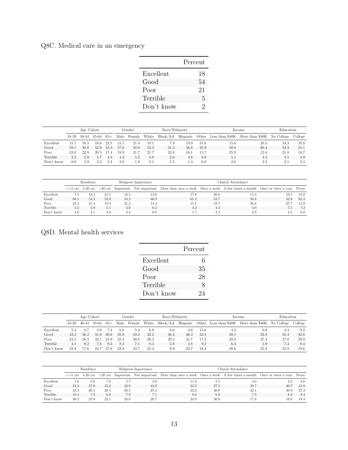## Q8C. Medical care in an emergency

|            | Percent       |
|------------|---------------|
| Excellent  | 18            |
| Good       | 54            |
| Poor       | 21            |
| Terrible   | 5             |
| Don't know | $\mathcal{D}$ |

|            | Age Cohort |             |       |       |      | Gender | Race/Ethnicity |          |          |      | Income | Education                                        |      |         |
|------------|------------|-------------|-------|-------|------|--------|----------------|----------|----------|------|--------|--------------------------------------------------|------|---------|
|            | $18-29$    | $30-44$     | 45-64 | $65+$ | Male | Female | White          | Black/AA | Hispanic |      |        | Other Less than \$40K More than \$40K No College |      | College |
| Excellent  | 15.7       | $^{16.5}\:$ | 18.6  | 22.5  | 15.7 | 21.4   | 19.1           | 7.8      | 19.0     | 37.6 | 15.6   | 20.5                                             | 18.3 | 18.8    |
| Good       | 59.1       | 50.8        | 52.9  | 53.3  | 57.6 | 50.0   | 52.3           | 51.3     | 58.8     | 35.9 | 50.8   | 60.4                                             | 53.3 | 55.1    |
| Poor       | 23.0       | 22.9        | 20.5  | 17.4  | 19.9 | 21.7   | 21.7           | 32.8     | 16.1     | 13.7 | 25.9   | 12.6                                             | 21.8 | 18.7    |
| Terrible   | $2.2\,$    | 5.9         | 5.7   | 4.3   | 4.2  | 5.2    | 4.8            | 2.6      | 4.8      | 6.9  | 5.1    | 4.3                                              | 4.5  | 4.9     |
| Don't know | 0.0        | 3.9         | 2.3   | 2.4   | 2.6  | 1.8    | 2.1            | .b.b     | 1.3      | 6.0  | 2.6    | 2.2                                              | 2.1  | 2.4     |

|            | Residency |      |      |      | Religious Importance |                                                                                                                                             | Church Attendance |      |      |      |  |  |  |
|------------|-----------|------|------|------|----------------------|---------------------------------------------------------------------------------------------------------------------------------------------|-------------------|------|------|------|--|--|--|
|            |           |      |      |      |                      | $\epsilon$ =5 yrs 5-20 yrs >20 yrs Important Not important More than once a week Once a week A few times a month Once or twice a year Never |                   |      |      |      |  |  |  |
| Excellent  | 7.5       | 18.2 | 21.5 | 18.5 | 13.6                 | 17.8                                                                                                                                        | 20.0              | 15.4 | 19.5 | 13.8 |  |  |  |
| Good       | 60.1      | 54.3 | 52.0 | 53.2 | 66.9                 | 61.2                                                                                                                                        | 53.7              | 50.8 | 42.8 | 65.2 |  |  |  |
| Poor       | 24.3      | 21.4 | 19.4 | 21.2 | 13.3                 | 15.1                                                                                                                                        | 19.7              | 26.8 | 27.7 | 13.9 |  |  |  |
| Terrible   | 5.2       | 3.9  | 5.1  | 4.6  | 6.3                  | 4.2                                                                                                                                         | 4.4               | 4.0  | 5.5  | 7.2  |  |  |  |
| Don't know | 3.0       | 2.1  | 2.0  | 2.4  | 0.0                  |                                                                                                                                             | 2.2               | 2.9  | 4.5  | 0.0  |  |  |  |

Q8D. Mental health services

|            | Percent |
|------------|---------|
| Excellent  | 6       |
| Good       | 35      |
| Poor       | 28      |
| Terrible   | 8       |
| Don't know | 24      |

|            | Age Cohort |       |           |       |      | Gender | Race/Ethnicity |          |          |          |      | Income                                           | Education |         |
|------------|------------|-------|-----------|-------|------|--------|----------------|----------|----------|----------|------|--------------------------------------------------|-----------|---------|
|            | 18-29      | 30-44 | $45 - 64$ | $65+$ | Male | Female | White          | Black/AA | Hispanic |          |      | Other Less than \$40K More than \$40K No College |           | College |
| Excellent  | 5.3        | -8.7  | 3.9       | 7.4   | 6.6  | 5.4    | 6.9            | 6.6      | 3.6      | $15.6\,$ | 4.2  | 8.0                                              | 4.4       | 9.2     |
| Good       | 42.3       | 36.2  | 31.6      | 30.6  | 35.8 | 33.2   | 32.2           | 48.2     | 36.3     | 23.5     | 39.1 | 32.8                                             | 35.4      | 32.8    |
| Poor       | 24.5       | 28.3  | 32.1      | 24.9  | 25.5 | 30.6   | 26.3           | 29.5     | 31.7     | 17.5     | 29.8 | 27.4                                             | 27.0      | 29.9    |
| Terrible   | 4.1        | 9.2   | 7.8       | 9.3   | 8.2  | 7.1    | 9.3            | 5.8      | 4.8      | 9.2      | 6.3  | 5.9                                              | 7.3       | 8.4     |
| Don't know | 23.8       | L7.6  | 24.7      | 27.8  | 23.8 | 23.7   | 25.4           | 9.9      | 23.7     | 34.2     | 20.6 | 25.9                                             | 25.9      | 19.6    |

|            | Residency |      |      |      | Religious Importance | Church Attendance                                                                                                                           |      |      |      |      |  |  |
|------------|-----------|------|------|------|----------------------|---------------------------------------------------------------------------------------------------------------------------------------------|------|------|------|------|--|--|
|            |           |      |      |      |                      | $\epsilon$ =5 yrs 5-20 yrs >20 yrs Important Not important More than once a week Once a week A few times a month Once or twice a year Never |      |      |      |      |  |  |
| Excellent  | 1.8       | 5.0  | 7.9  | 5.7  | 3.0                  | 11.2                                                                                                                                        | 5.5  | 3.0  | 2.2  | 3.0  |  |  |
| Good       | 24.3      | 37.0 | 35.2 | 33.9 | 43.9                 | 32.5                                                                                                                                        | 27.5 | 39.7 | 40.7 | 41.9 |  |  |
| Poor       | 33.4      | 26.1 | 28.1 | 28.5 | 25.3                 | 22.6                                                                                                                                        | 30.0 | 32.1 | 30.9 | 27.3 |  |  |
| Terrible   | 10.4      | 7.9  | 6.8  | 7.9  | 7.1                  | 8.8                                                                                                                                         | 6.9  | 7.5  | 8.2  | 8.4  |  |  |
| Don't know | 30.2      | 23.9 | 22.1 | 24.0 | 20.7                 | 24.9                                                                                                                                        | 30.0 | 17.8 | 18.0 | 19.4 |  |  |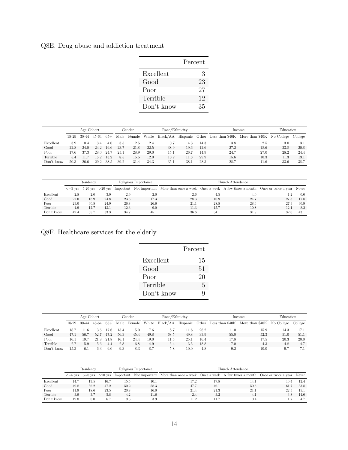Q8E. Drug abuse and addiction treatment

|            | Percent |
|------------|---------|
| Excellent  | 3       |
| Good       | 23      |
| Poor       | 27      |
| Terrible   | 12      |
| Don't know | 35      |

|            | Age Cohort |         |       |       |      | Gender | Race/Ethnicity |          |          |      | Income | Education                                        |      |         |
|------------|------------|---------|-------|-------|------|--------|----------------|----------|----------|------|--------|--------------------------------------------------|------|---------|
|            | $18-29$    | $30-44$ | 45-64 | $65+$ | Male | Female | White          | Black/AA | Hispanic |      |        | Other Less than \$40K More than \$40K No College |      | College |
| Excellent  | 3.9        | 0.4     | 3.4   | 4.0   | 3.5  | 2.5    | 2.4            | 0.7      | 4.3      | 14.3 | 3.8    | 2.5                                              | 3.0  | 3.1     |
| Good       | 22.8       | 24.0    | 24.2  | 19.6  | 23.7 | 21.8   | 22.5           | 38.9     | 19.6     | 12.6 | 27.2   | 18.6                                             | 23.8 | 20.8    |
| Poor       | 17.6       | 37.3    | 28.0  | 24.7  | 25.1 | 28.9   | 29.0           | 15.1     | 26.7     | 14.9 | 24.7   | 27.0                                             | 28.2 | 24.4    |
| Terrible   |            | -11.7   | 15.2  | 13.2  | 8.5  | 15.5   | 12.0           | 10.2     | 11.3     | 29.9 | 15.6   | 10.3                                             | 11.3 | 13.1    |
| Don't know | 50.3       | 26.6    | 29.2  | 38.5  | 39.2 | 31.4   | 34.3           | 35.1     | 38.1     | 28.3 | 28.7   | 41.6                                             | 33.6 | 38.7    |

|            | Residency |      |      |      | Religious Importance |                                                                                                                                             | Church Attendance |      |         |      |  |  |  |
|------------|-----------|------|------|------|----------------------|---------------------------------------------------------------------------------------------------------------------------------------------|-------------------|------|---------|------|--|--|--|
|            |           |      |      |      |                      | $\epsilon$ =5 yrs 5-20 yrs >20 yrs Important Not important More than once a week Once a week A few times a month Once or twice a year Never |                   |      |         |      |  |  |  |
| Excellent  | 2.8       | 2.0  | 3.9  | 2.9  | 2.0                  | 2.6                                                                                                                                         | 4.5               | 4.0  | $1.2\,$ | 0.0  |  |  |  |
| Good       | 27.0      | 18.9 | 24.8 | 23.3 | 17.3                 | 28.3                                                                                                                                        | 16.9              | 24.7 | 27.3    | 17.8 |  |  |  |
| Poor       | 23.0      | 30.8 | 24.9 | 26.8 | 26.6                 | 21.1                                                                                                                                        | 28.8              | 28.6 | 27.3    | 30.9 |  |  |  |
| Terrible   | 4.9       | 12.7 | 13.1 | 12.3 | 9.0                  | 11.3                                                                                                                                        | 15.7              | 10.8 | 12.1    | 8.2  |  |  |  |
| Don't know | 42.4      | 35.7 | 33.3 | 34.7 | 45.1                 | 36.6                                                                                                                                        | 34.1              | 31.9 | 32.0    | 43.1 |  |  |  |

Q8F. Healthcare services for the elderly

| Percent |
|---------|
| 15      |
| 51      |
| 20      |
| 5       |
| Q       |
|         |

|            |       | Age Cohort |       |       |      | Gender | Race/Ethnicity |          |      |      | Income | Education                                                 |      |         |
|------------|-------|------------|-------|-------|------|--------|----------------|----------|------|------|--------|-----------------------------------------------------------|------|---------|
|            | 18-29 | 30-44      | 45-64 | $65+$ | Male | Female | White          | Black/AA |      |      |        | Hispanic Other Less than \$40K More than \$40K No College |      | College |
| Excellent  | 18.1  | 11.6       | 13.6  | 17.6  | 15.4 | 15.0   | 17.6           | 8.7      | 11.6 | 26.2 | 11.0   | 15.9                                                      | 14.3 | 17.1    |
| Good       | 47.1  | 56.7       | 52.7  | 47.2  | 56.3 | 45.4   | 49.8           | 68.5     | 49.8 | 33.9 | 55.0   | 52.3                                                      | 51.0 | 51.1    |
| Poor       | 16.1  | 19.7       | 21.8  | 21.8  | 16.1 | 24.4   | 19.0           | 11.5     | 25.1 | 16.4 | 17.8   | 17.5                                                      | 20.3 | 20.0    |
| Terrible   | 2.7   | 5.9        | 5.6   | 4.4   | 2.8  | 6.8    | 4.9            | 5.4      | 3.5  | 18.8 | 7.0    | 4.3                                                       | 4.8  | 4.7     |
| Don't know | 15.3  | 6.1        | 6.3   | 9.0   | 9.3  | 8.3    | 8.7            | 5.8      | 10.0 | 4.8  | 9.2    | 10.0                                                      | 9.7  | 7.1     |

|            |      | Residency |      |      | Religious Importance | Church Attendance                                                                                                                           |      |      |      |      |  |  |
|------------|------|-----------|------|------|----------------------|---------------------------------------------------------------------------------------------------------------------------------------------|------|------|------|------|--|--|
|            |      |           |      |      |                      | $\epsilon$ =5 yrs 5-20 yrs >20 yrs Important Not important More than once a week Once a week A few times a month Once or twice a year Never |      |      |      |      |  |  |
| Excellent  | 14.7 | 13.5      | 16.7 | 15.5 | 10.1                 | 17.2                                                                                                                                        | 17.8 | 14.1 | 10.4 | 12.4 |  |  |
| Good       | 49.8 | 56.2      | 47.2 | 50.2 | 58.3                 | 47.7                                                                                                                                        | 46.1 | 50.3 | 61.7 | 53.8 |  |  |
| Poor       | 1.9  | 18.6      | 23.5 | 20.8 | 16.0                 | 21.4                                                                                                                                        | 21.3 | 21.1 | 22.5 | 15.1 |  |  |
| Terrible   | 3.9  | 3.7       | 5.8  | 4.2  | 11.6                 | 2.4                                                                                                                                         | 3.2  | 4.1  | 3.8  | 14.0 |  |  |
| Don't know | 19.8 | 8.0       | 6.7  | 9.3  | 3.9                  | 11.2                                                                                                                                        | 11.7 | 10.4 |      | 4.7  |  |  |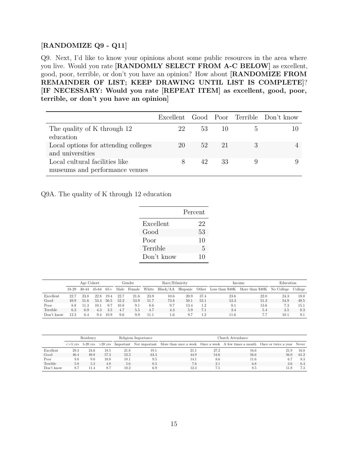#### **[RANDOMIZE Q9 - Q11]**

Q9. Next, I'd like to know your opinions about some public resources in the area where you live. Would you rate **[RANDOMLY SELECT FROM A-C BELOW]** as excellent, good, poor, terrible, or don't you have an opinion? How about **[RANDOMIZE FROM REMAINDER OF LIST; KEEP DRAWING UNTIL LIST IS COMPLETE]**? **[IF NECESSARY: Would you rate [REPEAT ITEM] as excellent, good, poor, terrible, or don't you have an opinion]**

|                                                                  |             |    |        | Excellent Good Poor Terrible Don't know |
|------------------------------------------------------------------|-------------|----|--------|-----------------------------------------|
| The quality of K through 12<br>education                         | 22          | 53 | $-1()$ |                                         |
| Local options for attending colleges<br>and universities         | 20          | 52 | 21     |                                         |
| Local cultural facilities like<br>museums and performance venues | $8^{\circ}$ | 42 | 33     |                                         |

#### Q9A. The quality of K through 12 education

|            | Percent |
|------------|---------|
| Excellent  | 22      |
| Good       | 53      |
| Poor       | 10      |
| Terrible   | 5       |
| Don't know | 10      |

|            |       | Age Cohort |       |       |      | Gender | Race/Ethnicity |          |      |      | Income | Education                                                 |      |         |
|------------|-------|------------|-------|-------|------|--------|----------------|----------|------|------|--------|-----------------------------------------------------------|------|---------|
|            | 18-29 | 30-44      | 45-64 | $65+$ | Male | Female | White          | Black/AA |      |      |        | Hispanic Other Less than \$40K More than \$40K No College |      | College |
| Excellent  | 22.7  | 23.8       | 22.8  | 19.4  | 22.7 | 21.6   | 23.9           | 10.6     | 20.9 | 37.4 | 23.6   | 22.0                                                      | 24.3 | 18.0    |
| Good       | 49.9  | 51.6       | 53.4  | 56.5  | 52.2 | 53.9   | 51.7           | 73.8     | 50.1 | 53.1 | 53.3   | 51.3                                                      | 54.9 | 49.5    |
| Poor       | 8.8   | .1.3       | 10.1  | 9.7   | 10.8 | 9.1    | 8.6            | 9.7      | 13.4 | 1.2  | 8.1    | 13.6                                                      | 7.3  | 15.1    |
| Terrible   | 6.3   | 6.9        | 4.3   | 3.5   | 4.7  | 5.5    | 4.7            | 4.3      | 5.9  | 7.1  | 3.4    | 5.4                                                       | 3.5  | 8.3     |
| Don't know | 12.3  | 6.4        | 9.4   | 10.9  | 9.6  | 9.9    | 11.1           | 1.6      | 9.7  | 1.2  | 11.6   |                                                           | 10.1 | 9.1     |

|            |      | Residency |      |      | Religious Importance | Church Attendance.                                                                                                                          |      |      |      |      |  |  |
|------------|------|-----------|------|------|----------------------|---------------------------------------------------------------------------------------------------------------------------------------------|------|------|------|------|--|--|
|            |      |           |      |      |                      | $\epsilon$ =5 yrs 5-20 yrs >20 yrs Important Not important More than once a week Once a week A few times a month Once or twice a year Never |      |      |      |      |  |  |
| Excellent  | 29.3 | 24.6      | 18.5 | 21.8 | 19.1                 | 21.1                                                                                                                                        | 27.2 | 16.6 | 21.9 | 16.8 |  |  |
| Good       | 46.4 | 49.8      | 57.3 | 52.3 | 64.3                 | 44.9                                                                                                                                        | 54.6 | 56.6 | 56.0 | 61.2 |  |  |
| Poor       | 9.8  | 9.0       | 10.8 | 10.1 | 9.5                  | 14.1                                                                                                                                        | 8.6  | 11.6 | 6.7  | 8.3  |  |  |
| Terrible   | 5.8  | 5.3       | 4.8  | 5.6  | 0.3                  | 7.6                                                                                                                                         | 2.1  | 6.8  | 3.6  | 6.4  |  |  |
| Don't know | 8.7  | 11.4      | 8.7  | 10.2 | 6.9                  | 12.3                                                                                                                                        | 7.5  | 8.5  | 11.8 | 7.3  |  |  |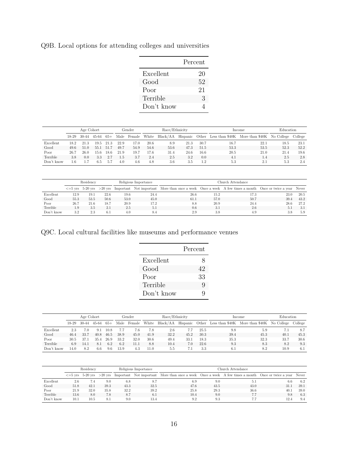Q9B. Local options for attending colleges and universities

|            | Percent |
|------------|---------|
| Excellent  | 20      |
| Good       | 52      |
| Poor       | 21      |
| Terrible   | 3       |
| Don't know |         |

|            |       | Age Cohort |       |       |         | Gender | Race/Ethnicity |          |          |      | Income | Education                             |            |         |
|------------|-------|------------|-------|-------|---------|--------|----------------|----------|----------|------|--------|---------------------------------------|------------|---------|
|            | 18-29 | 30-44      | 45-64 | $65+$ | Male    | Female | White          | Black/AA | Hispanic |      |        | Other Less than \$40K More than \$40K | No College | College |
| Excellent  | 18.2  | 21.3       | 19.5  | 21.3  | 22.9    | 17.0   | 20.6           | 8.9      | 21.3     | 30.7 | 16.7   | 22.1                                  | 18.5       | 23.1    |
| Good       | 49.6  | 51.0       | 55.1  | 51.7  | 49.7    | 54.9   | 54.6           | 53.6     | 47.3     | 51.5 | 53.3   | 53.5                                  | 52.3       | 52.2    |
| Poor       | 26.7  | 26.0       | 15.6  | 18.6  | 21.9    | 19.7   | 17.6           | 31.4     | 24.6     | 16.6 | 20.5   | 21.0                                  | 21.4       | 19.6    |
| Terrible   | 3.8   | 0.0        | 3.3   | 2.7   | $1.5\,$ | 3.7    | 2.4            | 2.5      | 3.2      | 0.0  | 4.1    | 1.4                                   | 2.5        | 2.8     |
| Don't know | . 6   |            | 6.5   | -5.7  | 4.0     | 4.6    | 4.8            | 3.6      | 3.5      | 1.2  | 5.3    | 2.1                                   | 5.3        | 2.4     |

|            |      | Residency |      |      | Religious Importance | Church Attendance.                                                                                                                          |      |      |      |      |  |
|------------|------|-----------|------|------|----------------------|---------------------------------------------------------------------------------------------------------------------------------------------|------|------|------|------|--|
|            |      |           |      |      |                      | $\epsilon$ =5 yrs 5-20 yrs >20 yrs Important Not important More than once a week Once a week A few times a month Once or twice a year Never |      |      |      |      |  |
| Excellent  | 12.9 | 19.1      | 22.6 | 19.6 | 24.4                 | 26.6                                                                                                                                        | 15.2 | 17.3 | 23.0 | 20.5 |  |
| Good       | 55.3 | 53.5      | 50.6 | 53.0 | 45.0                 | 61.1                                                                                                                                        | 57.0 | 50.7 | 39.4 | 43.2 |  |
| Poor       | 26.7 | 21.6      | 18.7 | 20.9 | 17.2                 | 8.8                                                                                                                                         | 20.9 | 24.4 | 28.6 | 27.2 |  |
| Terrible   | 1.9  | 3.5       | 2.1  | 2.5  | 5.1                  | 0.6                                                                                                                                         | -3.1 | 2.6  | 5.1  | 3.1  |  |
| Don't know | 3.2  | 2.3       | 6.1  | 4.0  |                      | 2.9                                                                                                                                         | 3.8  | 4.9  | 3.8  | 5.9  |  |

Q9C. Local cultural facilities like museums and performance venues

|            | Percent |
|------------|---------|
| Excellent  | 8       |
| Good       | 42      |
| Poor       | 33      |
| Terrible   | Q       |
| Don't know |         |

|            |       | Age Cohort |       |       |      | Gender | Race/Ethnicity |          |      |      | Income | Education                                                 |      |         |
|------------|-------|------------|-------|-------|------|--------|----------------|----------|------|------|--------|-----------------------------------------------------------|------|---------|
|            | 18-29 | 30-44      | 45-64 | $65+$ | Male | Female | White          | Black/AA |      |      |        | Hispanic Other Less than \$40K More than \$40K No College |      | College |
| Excellent  | 2.3   | 7.0        | 9.1   | 10.8  | 7.7  | 7.6    | 7.8            | 2.6      |      | 25.5 | 9.8    | 5.9                                                       |      | 8.7     |
| Good       | 46.4  | 33.7       | 40.8  | 46.5  | 38.9 | 45.0   | 41.9           | 32.2     | 45.2 | 30.3 | 39.4   | 45.3                                                      | 40.1 | 45.3    |
| Poor       | 30.5  | 37.1       | 35.4  | 26.9  | 33.2 | 32.0   | 30.6           | 49.4     | 33.1 | 18.3 | 35.3   | 32.3                                                      | 33.7 | 30.6    |
| Terrible   | 6.9   | 14.1       | 8.1   | 6.2   | 6.2  | 11.1   | 8.8            | 10.4     | 7.0  | 22.6 | 9.3    | 8.3                                                       | 8.2  | 9.3     |
| Don't know | 14.0  | 8.2        | 6.6   | 9.6   | 13.9 | 4.3    | 11.0           | 5.5      |      | 3.3  | 6.1    | 8.2                                                       | 10.9 | 6.1     |

|            |      | Residency |      |      | Religious Importance | Church Attendance                                                                                                                           |      |      |      |      |  |  |
|------------|------|-----------|------|------|----------------------|---------------------------------------------------------------------------------------------------------------------------------------------|------|------|------|------|--|--|
|            |      |           |      |      |                      | $\epsilon$ =5 yrs 5-20 yrs >20 yrs Important Not important More than once a week Once a week A few times a month Once or twice a year Never |      |      |      |      |  |  |
| Excellent  | 2.6  | 7.4       | 9.0  | 6.8  |                      | 6.9                                                                                                                                         | 9.0  | 5.1  | 6.6  | -6.2 |  |  |
| Good       | 51.8 | 42.1      | 39.3 | 43.3 | 32.5                 | 47.6                                                                                                                                        | 43.5 | 43.0 | 31.1 | 39.1 |  |  |
| Poor       | 21.9 | 32.0      | 35.8 | 32.2 | 39.2                 | 25.8                                                                                                                                        | 29.3 | 36.6 | 40.1 | 39.0 |  |  |
| Terrible   | 13.6 | 8.0       | 7.8  | 8.7  | 6.1                  | 10.4                                                                                                                                        | 9.0  |      | 9.8  | 6.3  |  |  |
| Don't know | 10.1 | 10.5      | 8.1  | 9.0  | 13.4                 | 9.2                                                                                                                                         | 9.3  |      | 12.4 | 9.4  |  |  |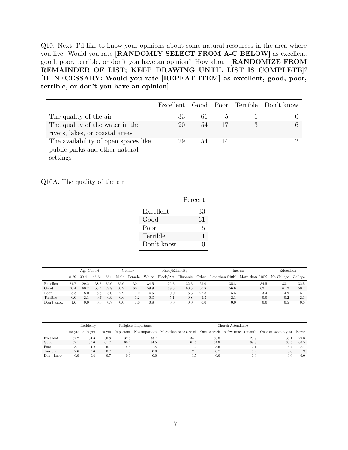Q10. Next, I'd like to know your opinions about some natural resources in the area where you live. Would you rate **[RANDOMLY SELECT FROM A-C BELOW]** as excellent, good, poor, terrible, or don't you have an opinion? How about **[RANDOMIZE FROM REMAINDER OF LIST; KEEP DRAWING UNTIL LIST IS COMPLETE]**? **[IF NECESSARY: Would you rate [REPEAT ITEM] as excellent, good, poor, terrible, or don't you have an opinion]**

|                                                                                    |    |    |               | Excellent Good Poor Terrible Don't know |
|------------------------------------------------------------------------------------|----|----|---------------|-----------------------------------------|
| The quality of the air                                                             | 33 | 61 | $\mathcal{L}$ |                                         |
| The quality of the water in the<br>rivers, lakes, or coastal areas                 | 20 | 54 | 17            |                                         |
| The availability of open spaces like<br>public parks and other natural<br>settings | 29 | 54 | 14            |                                         |

Q10A. The quality of the air

|            | Percent |
|------------|---------|
| Excellent  | 33      |
| Good       | 61      |
| Poor       | 5       |
| Terrible   | 1       |
| Don't know | 0       |
|            |         |

|            |       | Age Cohort |       |       |      | Gender        | Race/Ethnicity |          |          |      |      | Income                                           | Education |         |
|------------|-------|------------|-------|-------|------|---------------|----------------|----------|----------|------|------|--------------------------------------------------|-----------|---------|
|            | 18-29 | 30-44      | 45-64 | $65+$ | Male | Female        | White          | Black/AA | Hispanic |      |      | Other Less than \$40K More than \$40K No College |           | College |
| Excellent  | 24.7  | 29.2       | 38.3  | 35.6  | 35.6 | 30.1          | 34.5           | 25.3     | 32.3     | 23.0 | 35.8 | 34.5                                             | 33.1      | 32.5    |
| Good       | 70.4  | 60.7       | 55.4  | 59.8  | 60.9 | 60.4          | 59.9           | 69.6     | 60.5     | 50.8 | 56.6 | 62.1                                             | 61.2      | 59.7    |
| Poor       | 3.3   | 8.0        | 5.6   | 3.0   | 2.9  | 7.2           | 4.5            | 0.0      | 6.3      | 22.8 | 5.5  | 3.4                                              | 4.9       | 5.1     |
| Terrible   | 0.0   | 2.1        | 0.7   | 0.9   | 0.6  | $1.2^{\circ}$ | 0.3            | 5.1      | 0.8      | 3.3  | 2.1  | 0.0                                              | 0.2       | 2.1     |
| Don't know | 1.6   | 0.0        | 0.0   | 0.7   | 0.0  | 1.0           | 0.8            | 0.0      | 0.0      | 0.0  | 0.0  | 0.0                                              | 0.5       | 0.5     |

|            |      | Residency |      |      | Religious Importance |                                                                                                                                                | Church Attendance |      |      |      |  |  |  |
|------------|------|-----------|------|------|----------------------|------------------------------------------------------------------------------------------------------------------------------------------------|-------------------|------|------|------|--|--|--|
|            |      |           |      |      |                      | $\epsilon$ =5 yrs 5-20 yrs $>$ 20 yrs Important Not important More than once a week Once a week A few times a month Once or twice a year Never |                   |      |      |      |  |  |  |
| Excellent  | 37.2 | 34.3      | 30.8 | 32.8 | 33.7                 | 34.1                                                                                                                                           | 38.8              | 23.9 | 36.1 | 29.8 |  |  |  |
| Good       | 57.1 | 60.6      | 61.7 | 60.4 | 64.5                 | 61.3                                                                                                                                           | 54.9              | 68.9 | 60.5 | 60.5 |  |  |  |
| Poor       | 3.1  | 4.2       | 6.1  | 5.3  | 1.8                  | 1.0                                                                                                                                            | 5.6               | 7.1  | 3.4  | 8.4  |  |  |  |
| Terrible   | 2.6  | 0.6       | 0.7  | 1.0  | 0.0                  | 2.1                                                                                                                                            | 0.7               | 0.2  | 0.0  | 1.3  |  |  |  |
| Don't know | 0.0  | 0.4       | 0.7  | 0.6  | 0.0                  | 1.5                                                                                                                                            | 0.0               | 0.0  | 0.0  | 0.0  |  |  |  |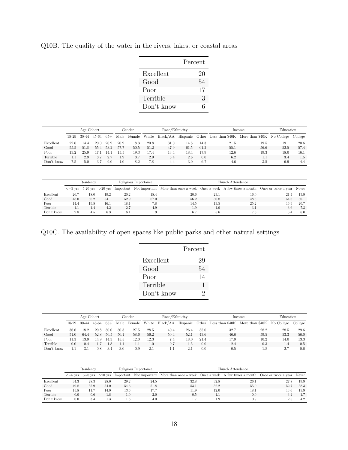|            | Percent |
|------------|---------|
| Excellent  | 20      |
| Good       | .54     |
| Poor       | 17      |
| Terrible   | 3       |
| Don't know | б       |

Q10B. The quality of the water in the rivers, lakes, or coastal areas

|            |         | Age Cohort |           |       | Gender |        |       | Race/Ethnicity |      |      | Income | Education                                                 |      |         |
|------------|---------|------------|-----------|-------|--------|--------|-------|----------------|------|------|--------|-----------------------------------------------------------|------|---------|
|            | $18-29$ | 30-44      | $45 - 64$ | $65+$ | Male   | Female | White | Black/AA       |      |      |        | Hispanic Other Less than \$40K More than \$40K No College |      | College |
| Excellent  | 22.6    | 14.4       | 20.0      | 20.9  | 20.9   | 18.3   | 20.8  | 31.0           | 14.5 | 14.3 | 21.5   | 19.5                                                      | 19.1 | 20.6    |
| Good       | 55.5    | 51.8       | 55.4      | 53.2  | 57.7   | 50.5   | 51.2  | 47.9           | 61.5 | 61.2 | 55.1   | 56.6                                                      | 52.5 | 57.4    |
| Poor       | 13.2    | 25.9       |           | 14.   | 15.5   | 19.3   | 17.4  | 13.4           | 18.4 | 17.9 | 12.6   | 19.3                                                      | 18.0 | 16.1    |
| Terrible   |         | 2.9        | 3.7       | 2.7   | 1.9    | 3.7    | 2.9   | 3.4            | 2.6  | 0.0  | 6.2    |                                                           | 3.4  | 1.5     |
| Don't know | 7.5     | 5.0        | 3.7       | 9.0   | 4.0    | 8.2    | 7.8   | 4.4            | 3.0  | 6.7  | 4.6    | 3.5                                                       | 6.9  | 4.4     |

|            |      | Residency |      |      | Religious Importance |                                                                                                                                                | Church Attendance |      |      |      |  |  |  |
|------------|------|-----------|------|------|----------------------|------------------------------------------------------------------------------------------------------------------------------------------------|-------------------|------|------|------|--|--|--|
|            |      |           |      |      |                      | $\epsilon$ =5 yrs 5-20 yrs $>$ 20 yrs Important Not important More than once a week Once a week A few times a month Once or twice a year Never |                   |      |      |      |  |  |  |
| Excellent  | 26.7 | 18.0      | 19.2 | 20.2 | 18.4                 | 20.6                                                                                                                                           | 23.1              | 16.0 | 21.4 | 15.9 |  |  |  |
| Good       | 48.0 | 56.2      | 54.1 | 52.9 | 67.0                 | 56.2                                                                                                                                           | 56.8              | 48.5 | 54.6 | 50.1 |  |  |  |
| Poor       | 14.4 | 19.8      | 16.1 | 18.1 | 7.8                  | 14.5                                                                                                                                           | 13.5              | 25.2 | 16.9 | 20.7 |  |  |  |
| Terrible   |      | 1.4       | 4.2  | 2.7  | 4.9                  | 1.9                                                                                                                                            | 1.0               | 3.1  | 3.6  | 7.3  |  |  |  |
| Don't know | 9.8  | 4.5       | 6.3  | 6.1  | 1.9                  | 6.7                                                                                                                                            | 5.6               | 7.3  | 3.4  | 6.0  |  |  |  |

Q10C. The availability of open spaces like public parks and other natural settings

|            | Percent |
|------------|---------|
| Excellent  | 29      |
| Good       | 54      |
| Poor       | 14      |
| Terrible   | 1       |
| Don't know | 2       |

|            |         | Age Cohort |           |       |      | Gender | Race/Ethnicity |          |          |      |      | Income                                           | Education |         |
|------------|---------|------------|-----------|-------|------|--------|----------------|----------|----------|------|------|--------------------------------------------------|-----------|---------|
|            | $18-29$ | $30-44$    | $45 - 64$ | $65+$ | Male | Female | White          | Black/AA | Hispanic |      |      | Other Less than \$40K More than \$40K No College |           | College |
| Excellent  | 36.6    | 18.2       | 29.8      | 30.0  | 30.3 | 27.5   | 28.5           | 40.4     | 26.4     | 35.0 | 32.7 | 28.2                                             | 28.5      | 29.6    |
| Good       | 51.0    | 64.4       | 52.8      | 50.5  | 50.1 | 58.6   | 56.2           | 50.4     | 52.1     | 43.6 | 46.6 | 59.5                                             | 53.3      | 56.0    |
| Poor       | 11 3    | 13.9       | 14.9      | 14.3  | 15.5 | 12.0   | 12.3           | 7.4      | 18.0     | 21.4 | 17.9 | 10.2                                             | 14.0      | 13.3    |
| Terrible   | 0.0     | 0.4        |           | 1.8   | 1.1  |        | L.O            | 0.7      | 1.5      | 0.0  | 2.4  | 0.3                                              | 1.4       | 0.5     |
| Don't know |         | 3.1        | 0.8       | 3.4   | 3.0  | 0.9    | 2.1            |          | 2.1      | 0.0  | 0.5  | 1.8                                              | 2.7       | 0.6     |

|            |      | Residency |      |      | Religious Importance | Church Attendance                                                                                                                           |      |      |      |      |  |  |
|------------|------|-----------|------|------|----------------------|---------------------------------------------------------------------------------------------------------------------------------------------|------|------|------|------|--|--|
|            |      |           |      |      |                      | $\epsilon$ =5 yrs 5-20 yrs >20 yrs Important Not important More than once a week Once a week A few times a month Once or twice a year Never |      |      |      |      |  |  |
| Excellent  | 34.3 | 28.3      | 28.0 | 29.2 | 24.5                 | 32.8                                                                                                                                        | 32.8 | 26.1 | 27.8 | 19.9 |  |  |
| Good       | 49.8 | 55.9      | 54.0 | 54.3 | 51.8                 | 53.1                                                                                                                                        | 52.2 | 55.0 | 52.7 | 58.3 |  |  |
| Poor       | 15.8 | 11.7      | 14.9 | 13.6 | 17.7                 | 11.9                                                                                                                                        | 12.0 | 18.1 | 13.6 | 15.9 |  |  |
| Terrible   | 0.0  | 0.6       | 1.8  | 1.0  | 2.0                  | 0.5                                                                                                                                         |      | 0.0  | 3.4  | 1.7  |  |  |
| Don't know | 0.0  | 3.4       | 1.3  | 1.8  | 4.0                  |                                                                                                                                             | .9   | 0.9  | 2.5  | 4.2  |  |  |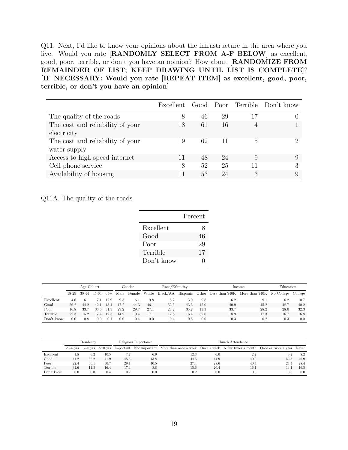Q11. Next, I'd like to know your opinions about the infrastructure in the area where you live. Would you rate **[RANDOMLY SELECT FROM A-F BELOW]** as excellent, good, poor, terrible, or don't you have an opinion? How about **[RANDOMIZE FROM REMAINDER OF LIST; KEEP DRAWING UNTIL LIST IS COMPLETE]**? **[IF NECESSARY: Would you rate [REPEAT ITEM] as excellent, good, poor, terrible, or don't you have an opinion]**

|                                  |    |    |    |    | Excellent Good Poor Terrible Don't know |
|----------------------------------|----|----|----|----|-----------------------------------------|
| The quality of the roads         | 8  | 46 | 29 | 17 |                                         |
| The cost and reliability of your | 18 | 61 | 16 |    |                                         |
| electricity                      |    |    |    |    |                                         |
| The cost and reliability of your | 19 | 62 | 11 | h, |                                         |
| water supply                     |    |    |    |    |                                         |
| Access to high speed internet    |    | 48 | 24 | 9  | 9                                       |
| Cell phone service               | 8  | 52 | 25 | 11 | 3                                       |
| Availability of housing          |    | 53 | 24 | 3  | 9                                       |

Q11A. The quality of the roads

|            | Percent |
|------------|---------|
| Excellent  | 8       |
| Good       | 46      |
| Poor       | 29      |
| Terrible   | 17      |
| Don't know |         |

|            | Age Cohort |       |          |       |      | Gender | Race/Ethnicity |                   |          |      | Income   | Education                                                |          |      |
|------------|------------|-------|----------|-------|------|--------|----------------|-------------------|----------|------|----------|----------------------------------------------------------|----------|------|
|            | 18-29      | 30-44 | 45-64    | $65+$ | Male | Female | White          | Black/AA Hispanic |          |      |          | Other Less than \$40K More than \$40K No College College |          |      |
| Excellent  | 4.6        | 6.1   | 7.1      | 12.9  | 9.3  | 6.1    | 9.8            | 6.2               | 3.9      | 9.8  | 6.2      | 9.1                                                      | 6.2      | 10.7 |
| Good       | 56.2       | 44.2  | 42.1     | 43.4  | 47.2 | 44.3   | 46.1           | 52.5              | 43.5     | 45.0 | 40.9     | 45.2                                                     | 48.7     | 40.2 |
| Poor       | 16.8       | 33.7  | 33.5     | -31.3 | 29.2 | 29.7   | 27.1           | 28.2              | 35.7     | 13.3 | 33.7     | 28.2                                                     | 28.0     | 32.3 |
| Terrible   | 22.3       | 15.2  | 17.4     | 12.3  | 14.2 | 19.4   | 17.1           | 12.6              | 16.4     | 32.0 | 18.9     | 17.3                                                     | 16.7     | 16.8 |
| Don't know | 0.0        | 0.8   | $_{0.0}$ | 0.1   | 0.0  | 0.4    | 0.0            | 0.4               | $_{0.5}$ | 0.0  | $_{0.3}$ | 0.2                                                      | $_{0.3}$ | 0.0  |

|            | Residency |      |      |      | Religious Importance |                                                                                                                                                | Church Attendance |      |      |      |  |  |  |
|------------|-----------|------|------|------|----------------------|------------------------------------------------------------------------------------------------------------------------------------------------|-------------------|------|------|------|--|--|--|
|            |           |      |      |      |                      | $\epsilon$ =5 yrs 5-20 yrs $>$ 20 yrs Important Not important More than once a week Once a week A few times a month Once or twice a year Never |                   |      |      |      |  |  |  |
| Excellent  | 1.8       | 6.2  | 10.5 |      | 6.9                  | 12.3                                                                                                                                           | 6.0               | 2.7  | 9.2  | 8.2  |  |  |  |
| Good       | 41.2      | 52.2 | 41.9 | 45.6 | 43.8                 | 44.5                                                                                                                                           | 44.9              | 40.0 | 52.3 | 46.9 |  |  |  |
| Poor       | 22.4      | 30.1 | 30.7 | 29.1 | 40.5                 | 27.4                                                                                                                                           | 28.6              | 40.4 | 24.4 | 28.4 |  |  |  |
| Terrible   | 34.6      | 11.5 | 16.4 | 17.4 | 8.8                  | 15.6                                                                                                                                           | 20.4              | 16.1 | 14.1 | 16.5 |  |  |  |
| Don't know | 0.0       | 0.0  | 0.4  | 0.2  | 0.0                  | 0.2                                                                                                                                            | 0.0               | 0.8  | 0.0  | 0.0  |  |  |  |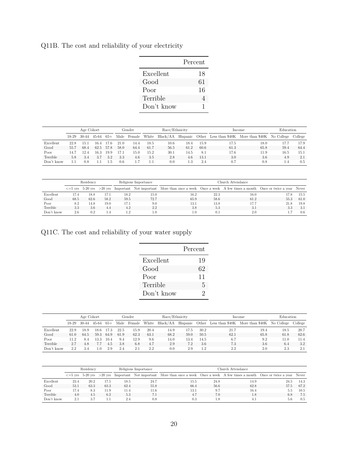Q11B. The cost and reliability of your electricity

|            | Percent |
|------------|---------|
| Excellent  | 18      |
| Good       | 61      |
| Poor       | 16      |
| Terrible   | 4       |
| Don't know | 1       |

|            | Age Cohort |       |           |       |      | Gender | Race/Ethnicity |      |      |      | Income | Education                                                                  |      |      |
|------------|------------|-------|-----------|-------|------|--------|----------------|------|------|------|--------|----------------------------------------------------------------------------|------|------|
|            | 18-29      | 30-44 | $45 - 64$ | $65+$ | Male | Female | White          |      |      |      |        | Black/AA Hispanic Other Less than \$40K More than \$40K No College College |      |      |
| Excellent  | 22.8       | 15.1  | 16.4      | 17.6  | 21.0 | 14.4   | 18.5           | 10.6 | 18.4 | 15.9 | 17.5   | 18.0                                                                       | 17.7 | 17.9 |
| Good       | 55.7       | 68.4  | 62.5      | 57.8  | 58.0 | 64.4   | 61.7           | 56.5 | 61.2 | 60.6 | 61.3   | 65.8                                                                       | 59.4 | 64.4 |
| Poor       | 14.7       | 12.4  | 16.3      | 19.9  | 17.1 | 15.0   | 15.2           | 30.1 | 14.5 | 8.1  | 17.6   | 11.9                                                                       | 16.5 | 15.1 |
| Terrible   | 5.8        | 3.4   | 3.7       | 3.2   | 3.3  | 4.6    | 3.5            | 2.8  | 4.6  | 13.1 | 3.0    | 3.6                                                                        | 4.9  | 2.1  |
| Don't know | . . 1      | 0.8   |           | L.b   | 0.6  |        |                | 0.0  | 1.3  | 2.4  | 0.7    | 0.8                                                                        | 1.4  | 0.5  |

|            | Residency |      |      |      | Religious Importance |                                                                                                                                             | Church Attendance. |      |      |      |  |  |  |
|------------|-----------|------|------|------|----------------------|---------------------------------------------------------------------------------------------------------------------------------------------|--------------------|------|------|------|--|--|--|
|            |           |      |      |      |                      | $\epsilon$ =5 yrs 5-20 yrs >20 yrs Important Not important More than once a week Once a week A few times a month Once or twice a year Never |                    |      |      |      |  |  |  |
| Excellent  | 17.4      | 18.8 | 17.1 | 18.2 | 15.0                 | 16.2                                                                                                                                        | 22.3               | 16.0 | 17.8 | 15.5 |  |  |  |
| Good       | 68.5      | 62.6 | 58.2 | 59.5 | 72.7                 | 65.9                                                                                                                                        | 58.6               | 61.2 | 55.3 | 61.0 |  |  |  |
| Poor       | 8.2       | 14.8 | 19.0 | 17.1 | 9.0                  | 13.1                                                                                                                                        | 13.8               | 17.7 | 21.8 | 19.8 |  |  |  |
| Terrible   | 3.3       | 3.6  | 4.4  | 4.2  | 2.2                  | 3.8                                                                                                                                         | 5.3                | 3.1  | 3.3  | -3.1 |  |  |  |
| Don't know | 2.6       | 0.2  | 1.4  | 1.2  | 1.0                  | $1.0\,$                                                                                                                                     | 0.1                | 2.0  |      | 0.6  |  |  |  |

Q11C. The cost and reliability of your water supply

|            | Percent                     |
|------------|-----------------------------|
| Excellent  | 19                          |
| Good       | 62                          |
| Poor       | 11                          |
| Terrible   | 5                           |
| Don't know | $\mathcal{D}_{\mathcal{L}}$ |

|            | Age Cohort |         |           |       |      | Gender | Race/Ethnicity |          |          |      | Income | Education                                        |      |         |
|------------|------------|---------|-----------|-------|------|--------|----------------|----------|----------|------|--------|--------------------------------------------------|------|---------|
|            | $18-29$    | $30-44$ | $45 - 64$ | $65+$ | Male | Female | White          | Black/AA | Hispanic |      |        | Other Less than \$40K More than \$40K No College |      | College |
| Excellent  | 22.9       | 18.9    | 18.6      | 17.3  | 22.5 | 15.9   | 20.4           | 14.9     | 17.5     | 30.2 | 21.7   | 19.4                                             | 18.5 | 20.7    |
| Good       | 61.0       | 64.5    | 59.3      | 64.9  | 61.9 | 62.3   | 63.1           | 68.2     | 59.0     | 50.5 | 62.1   | 65.8                                             | 61.8 | 62.6    |
| Poor       | 11 2       | 8.4     | 13.3      | 10.4  | 9.4  | 12.9   | 9.6            | 14.0     | 13.4     | 14.5 | 6.7    | 9.2                                              | 11.0 | 11.4    |
| Terrible   | 2.7        | 4.8     | 7.7       | 4.5   | 3.8  | 6.8    | 4.7            | 2.9      | 7.2      | 3.6  | 7.3    | 3.6                                              | 6.4  | 3.2     |
| Don't know | 2.2        | 3.4     | r. 0      | 2.9   | 2.4  | 2.1    | 2.2            | 0.0      | 2.9      | 1.2  | 2.2    | 2.0                                              | 2.3  | 2.1     |

|            | Residency |      |      |      | Religious Importance | Church Attendance                                                                                                                           |      |      |      |      |  |  |
|------------|-----------|------|------|------|----------------------|---------------------------------------------------------------------------------------------------------------------------------------------|------|------|------|------|--|--|
|            |           |      |      |      |                      | $\epsilon$ =5 yrs 5-20 yrs >20 yrs Important Not important More than once a week Once a week A few times a month Once or twice a year Never |      |      |      |      |  |  |
| Excellent  | 23.4      | 20.2 | 17.5 | 18.5 | 24.7                 | 15.5                                                                                                                                        | 24.8 | 14.9 | 24.5 | 14.3 |  |  |
| Good       | 53.1      | 63.3 | 63.3 | 62.4 | 55.8                 | 66.4                                                                                                                                        | 56.6 | 62.8 | 57.5 | 67.2 |  |  |
| Poor       | 17.4      | 8.3  | 11.9 | 11.4 | 11.6                 | 13.1                                                                                                                                        | 9.7  | 16.4 | 5.5  | 10.5 |  |  |
| Terrible   | 4.0       | 4.5  | 6.2  | 5.3  | 7.1                  | 4.7                                                                                                                                         | 7.0  | 1.8  | 6.8  | 7.5  |  |  |
| Don't know | 2.1       | 3.7  |      | 2.4  | 0.8                  | 0.3                                                                                                                                         |      |      | 5.6  | 0.5  |  |  |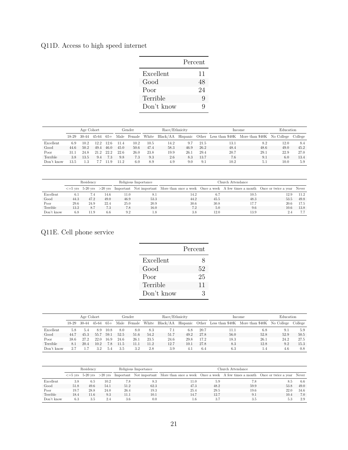## Q11D. Access to high speed internet

|            | Percent |
|------------|---------|
| Excellent  | 11      |
| Good       | 48      |
| Poor       | 24      |
| Terrible   | Q       |
| Don't know | Q       |

|            | Age Cohort |         |       |       |      | Gender | Race/Ethnicity |          |          |      | Income | Education                                        |      |         |
|------------|------------|---------|-------|-------|------|--------|----------------|----------|----------|------|--------|--------------------------------------------------|------|---------|
|            | $18-29$    | $30-44$ | 45-64 | $65+$ | Male | Female | White          | Black/AA | Hispanic |      |        | Other Less than \$40K More than \$40K No College |      | College |
| Excellent  | 6.9        | 10.2    | 12.2  | 12.6  | 11.4 | 10.2   | 10.5           | 14.2     | 9.7      | 21.5 | 13.1   | 8.2                                              | 12.0 | 8.4     |
| Good       | 44.6       | 50.2    | 49.4  | 46.0  | 45.0 | 50.6   | 47.4           | 58.3     | 46.9     | 26.2 | 48.4   | 48.6                                             | 49.0 | 45.2    |
| Poor       | 31.1       | 24.8    | 21.2  | 22.2  | 22.6 | 26.0   | 23.8           | 19.9     | 26.1     | 29.4 | 20.7   | 29.1                                             | 22.9 | 27.0    |
| Terrible   | 3.8        | 13.5    | 9.4   | 7.3   | 9.8  | 7.3    | 9.3            | 2.6      | 8.3      | 13.7 | 7.6    | 9.1                                              | 6.0  | 13.4    |
| Don't know | 13.5       | 1.3     |       | 119   | 11.2 | 6.0    | 8.9            | 4.9      | 9.0      | 9.1  | 10.2   | 5.1                                              | 10.0 | 5.9     |

|            | Residency |      |      |      | Religious Importance |                                                                                                                                                | Church Attendance |      |      |      |  |  |  |
|------------|-----------|------|------|------|----------------------|------------------------------------------------------------------------------------------------------------------------------------------------|-------------------|------|------|------|--|--|--|
|            |           |      |      |      |                      | $\epsilon$ =5 yrs 5-20 yrs $>$ 20 yrs Important Not important More than once a week Once a week A few times a month Once or twice a year Never |                   |      |      |      |  |  |  |
| Excellent  | 6.1       | 7.4  | 14.6 | 11.0 |                      | 14.2                                                                                                                                           | 6.7               | 10.5 | 12.9 | 11.2 |  |  |  |
| Good       | 44.3      | 47.2 | 49.0 | 46.9 | 53.3                 | 44.2                                                                                                                                           | 45.5              | 48.3 | 53.5 | 49.8 |  |  |  |
| Poor       | 29.6      | 24.9 | 22.4 | 25.0 | 20.9                 | 30.6                                                                                                                                           | 30.8              | 17.7 | 20.6 | 17.5 |  |  |  |
| Terrible   | 13.2      | 8.7  | 7.3  | 7.8  | 16.0                 | 7.2                                                                                                                                            | 5.0               | 9.6  | 10.6 | 13.8 |  |  |  |
| Don't know | 6.8       | 11.9 | 6.6  | 9.2  | 1.8                  | 3.8                                                                                                                                            | 12.0              | 13.9 |      | 7.7  |  |  |  |

### Q11E. Cell phone service

|            | Percent |
|------------|---------|
| Excellent  | 8       |
| Good       | 52      |
| Poor       | 25      |
| Terrible   | 11      |
| Don't know | З       |

l,

|            | Age Cohort |       |           |       |      | Gender | Race/Ethnicity |          |          |      | Income                | Education                  |      |         |
|------------|------------|-------|-----------|-------|------|--------|----------------|----------|----------|------|-----------------------|----------------------------|------|---------|
|            | $18-29$    | 30-44 | $45 - 64$ | $65+$ | Male | Female | White          | Black/AA | Hispanic |      | Other Less than \$40K | More than \$40K No College |      | College |
| Excellent  | 5.8        | 5.4   | 8.9       | 10.8  | 8.0  | 8.0    | 8.3            | 7.1      | 6.8      | 20.7 | 11.1                  | 6.8                        | 9.1  | 5.9     |
| Good       | 44.7       | 45.3  | 55.7      | 59.1  | 52.5 | 51.6   | 54.2           | 51.7     | 49.2     | 27.8 | 56.0                  | 52.8                       | 52.9 | 50.5    |
| Poor       | 38.6       | 27.2  | 22.0      | 16.9  | 24.6 | 26.1   | 23.5           | 24.6     | 29.8     | 17.2 | 18.3                  | 26.1                       | 24.2 | 27.5    |
| Terrible   | 8.1        | 20.4  | 10.2      | 7.8   | 11.5 | 11.1   | 11.2           | 12.7     | 10.1     | 27.8 | 8.3                   | 12.8                       | 9.2  | 15.3    |
| Don't know |            |       | 3.2       | 5.4   | 3.5  | 3.2    | 2.8            | 3.9      | 4.1      | 6.4  | 6.3                   | 1.4                        | 4.6  | 0.8     |

|            | Residency |      |      |      | Religious Importance | Church Attendance                                                                                                                           |      |      |      |      |  |  |
|------------|-----------|------|------|------|----------------------|---------------------------------------------------------------------------------------------------------------------------------------------|------|------|------|------|--|--|
|            |           |      |      |      |                      | $\epsilon$ =5 yrs 5-20 yrs >20 yrs Important Not important More than once a week Once a week A few times a month Once or twice a year Never |      |      |      |      |  |  |
| Excellent  | 3.8       | 6.5  | 10.2 | 7.8  | 8.3                  | 11.0                                                                                                                                        | 5.9  | 7.8  | 8.5  | -6.6 |  |  |
| Good       | 51.8      | 49.6 | 54.1 | 51.2 | 62.3                 | 47.3                                                                                                                                        | 48.2 | 59.9 | 53.8 | 49.0 |  |  |
| Poor       | 19.7      | 28.8 | 24.0 | 26.4 | 19.3                 | 25.4                                                                                                                                        | 29.5 | 19.6 | 22.0 | 34.6 |  |  |
| Terrible   | 18.4      | 11.6 | 9.3  | 11.1 | 10.1                 | 14.7                                                                                                                                        | 12.7 | 9.1  | 10.4 | 7.0  |  |  |
| Don't know | 6.3       | 3.5  | 2.4  | 3.6  | 0.0                  | 1.6                                                                                                                                         |      | 3.5  | 5.3  | 2.9  |  |  |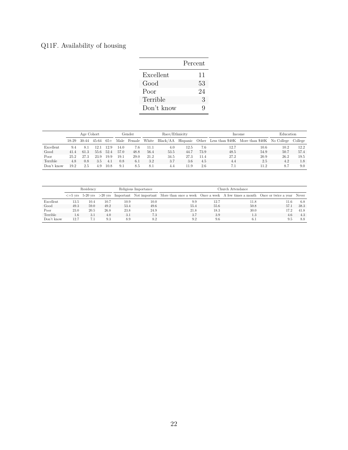# Q11F. Availability of housing

|            | Percent |
|------------|---------|
| Excellent  | 11      |
| Good       | 53      |
| Poor       | 24      |
| Terrible   | 3       |
| Don't know | Q       |

 $\overline{a}$ 

|            | Age Cohort |       |       |       |      | Gender | Race/Ethnicity |          |          |      | Income | Education                                        |      |         |
|------------|------------|-------|-------|-------|------|--------|----------------|----------|----------|------|--------|--------------------------------------------------|------|---------|
|            | 18-29      | 30-44 | 45-64 | $65+$ | Male | Female | White          | Black/AA | Hispanic |      |        | Other Less than \$40K More than \$40K No College |      | College |
| Excellent  | 9.4        | 8.1   | 12 1  | 12.9  | 14.0 | 7.6    | 11.1           | 4.0      | 12.5     | 7.6  | 12.7   | 10.6                                             | 10.2 | 12.2    |
| Good       | 41.4       | 61.3  | 55.6  | 52.4  | 57.0 | 48.8   | 56.4           | 53.5     | 44.7     | 73.9 | 48.5   | 54.9                                             | 50.7 | 57.4    |
| Poor       | 25.2       | 27.3  | 23.9  | 19.9  | 19.1 | 29.0   | 21.2           | 34.5     | 27.3     | 11.4 | 27.2   | 20.9                                             | 26.2 | 19.5    |
| Terrible   | 4.8        | 0.8   | 3.5   | 4.1   | 0.8  | 6.1    | 3.2            | 3.7      | 3.6      | 4.5  | 4.4    | 2.5                                              | 4.2  | 1.8     |
| Don't know | 19.2       | 2.5   | 4.9   | 10.8  | 9.1  | 8.5    | 8.1            | 4.4      | 11.9     | 2.6  |        | 11.2                                             | -8.7 | 9.0     |

|            | Residency |                             |      |      | Religious Importance |                                                                                                                  | Church Attendance |      |      |      |  |  |  |  |
|------------|-----------|-----------------------------|------|------|----------------------|------------------------------------------------------------------------------------------------------------------|-------------------|------|------|------|--|--|--|--|
|            |           | $\epsilon = 5$ vrs 5-20 vrs |      |      |                      | >20 yrs Important Not important More than once a week Once a week A few times a month Once or twice a year Never |                   |      |      |      |  |  |  |  |
| Excellent  | 13.5      | 10.4                        | 10.7 | 10.9 | 10.0                 | 9.9                                                                                                              | 12.7              | 11.8 | 11.6 | 6.8  |  |  |  |  |
| Good       | 49.3      | 59.0                        | 49.2 | 53.4 | 49.6                 | 55.4                                                                                                             | 55.6              | 50.8 | 57.1 | 38.3 |  |  |  |  |
| Poor       | 23.0      | 20.5                        | 26.8 | 23.8 | 24.9                 | 21.8                                                                                                             | 18.3              | 30.0 | 17.2 | 41.8 |  |  |  |  |
| Terrible   | 1.6       | 3.1                         | 4.0  | 3.1  | 7.3                  | 3.7                                                                                                              | 3.9               | 1.3  | 4.6  | 4.3  |  |  |  |  |
| Don't know | 12.7      | 7.1                         | 9.3  | 8.9  | 8.2                  | 9.2                                                                                                              | 9.6               | 6.1  | 9.5  | 8.8  |  |  |  |  |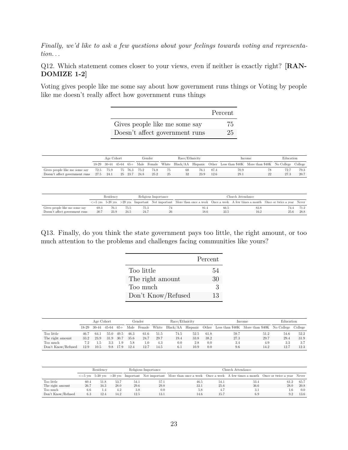*Finally, we'd like to ask a few questions about your feelings towards voting and representation. . .*

Q12. Which statement comes closer to your views, even if neither is exactly right? **[RAN-DOMIZE 1-2]**

Voting gives people like me some say about how government runs things or Voting by people like me doesn't really affect how government runs things

|                                | Percent |
|--------------------------------|---------|
| Gives people like me some say  | 75      |
| Doesn't affect government runs | 25      |

|                                                             | Age Cohort |                               |      |              | Gender | Race/Ethnicity |      |      |      | Income | Education                                                                                    |  |      |
|-------------------------------------------------------------|------------|-------------------------------|------|--------------|--------|----------------|------|------|------|--------|----------------------------------------------------------------------------------------------|--|------|
|                                                             |            | $18-29$ $30-44$ $45-64$ $65+$ |      |              |        |                |      |      |      |        | Male Female White Black/AA Hispanic Other Less than \$40K More than \$40K No College College |  |      |
| Gives people like me some say                               | 72.5       | 75.9                          |      | 75 76.3 75.2 | 74.8   | 75             | -68  | 76.1 | 87.4 | 70.9   | 78                                                                                           |  | 79.3 |
| Doesn't affect government runs<br>27.5<br>- 24.1<br>25 23.7 |            | 24.8                          | 25.2 | 25           | 32     | 23.9           | 12.6 | 29.1 | 22   | 27.3   | 20.7                                                                                         |  |      |

|                                | Residency |      |      |      | Religious Importance | Church Attendance                                                                                                                            |      |      |      |      |  |  |
|--------------------------------|-----------|------|------|------|----------------------|----------------------------------------------------------------------------------------------------------------------------------------------|------|------|------|------|--|--|
|                                |           |      |      |      |                      | $\epsilon = 5$ yrs 5-20 yrs >20 yrs Important Not important More than once a week Once a week A few times a month Once or twice a year Never |      |      |      |      |  |  |
| Gives people like me some say  | 69.3      | 76.1 | 75.5 | 75.3 |                      | 81.4                                                                                                                                         | 66.5 | 83.8 | 74.4 | 71.2 |  |  |
| Doesn't affect government runs | 30.7      | 23.9 | 24.5 |      | 26                   | 18.6                                                                                                                                         | 33.5 | 16.2 | 25.6 | 28.8 |  |  |

Q13. Finally, do you think the state government pays too little, the right amount, or too much attention to the problems and challenges facing communities like yours?

|                    | Percent |
|--------------------|---------|
| Too little         | 54      |
| The right amount   | 30      |
| Too much           | 3       |
| Don't Know/Refused | 13      |

|                    | Age Cohort |         |       |       |      | Gender | Race/Ethnicity |          |      |      | Income | Education                                                 |      |         |
|--------------------|------------|---------|-------|-------|------|--------|----------------|----------|------|------|--------|-----------------------------------------------------------|------|---------|
|                    | 18-29      | $30-44$ | 45-64 | $65+$ | Male | Female | White          | Black/AA |      |      |        | Hispanic Other Less than \$40K More than \$40K No College |      | College |
| Too little         | 46.7       | 64.1    | 55.0  | 49.5  | 46.3 | 61.6   | 51.5           | 74.5     | 52.5 | 61.8 | 59.7   | 51.2                                                      | 54.6 | 52.2    |
| The right amount   | 33.2       | 23.9    | 31.9  | 30.7  | 35.6 | 24.7   | 29.7           | 19.4     | 33.8 | 38.2 | 27.3   | 29.7                                                      | 29.4 | 31.9    |
| Too much           | 7.2        | L.5     |       | 1.9   | 5.8  | LO.    | 4.3            | 0.0      | 2.8  | 0.0  | 3.4    | 4.9                                                       | 3.3  | 3.7     |
| Don't Know/Refused | 12.9       | 10.5    | 9.8   | 17.9  | 12.4 | 12.7   | 14.5           | 6.1      | 10.9 | 0.0  | 9.6    | 14.2                                                      | 12.7 | 12.3    |

|                    | Residency |                             |      |      | Religious Importance |                                                                                                                  | Church Attendance |      |         |      |  |  |  |
|--------------------|-----------|-----------------------------|------|------|----------------------|------------------------------------------------------------------------------------------------------------------|-------------------|------|---------|------|--|--|--|
|                    |           | $\epsilon = 5$ yrs 5-20 yrs |      |      |                      | >20 yrs Important Not important More than once a week Once a week A few times a month Once or twice a year Never |                   |      |         |      |  |  |  |
| Too little         | 60.4      | 51.8                        | 53.7 | 54.1 | 57.1                 | 46.5                                                                                                             | 54.1              | 53.4 | 61.2    | 65.7 |  |  |  |
| The right amount   | 26.7      | 34.3                        | 28.0 | 29.6 | 29.8                 | 33.1                                                                                                             | 25.6              | 36.6 | 28.0    | 20.8 |  |  |  |
| Too much           | 6.6       | 1.4                         | 4.2  | 3.8  | 0.0                  | 5.8                                                                                                              |                   | 3.1  | $1.6\,$ | 0.0  |  |  |  |
| Don't Know/Refused | 6.3       | 12.4                        | 14.2 | 12.5 | 13.1                 | 14.6                                                                                                             | 15.7              | 6.9  | 9.2     | 13.6 |  |  |  |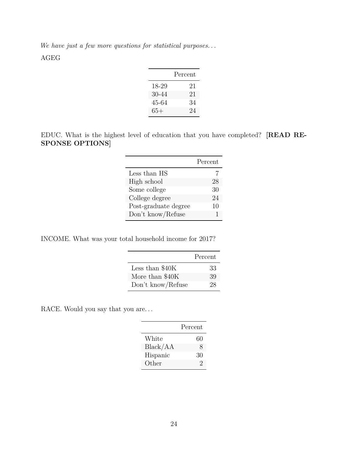*We have just a few more questions for statistical purposes. . .* AGEG

|       | Percent |
|-------|---------|
| 18-29 | 21      |
| 30-44 | 21      |
| 45-64 | 34      |
| 65+   | 24      |

EDUC. What is the highest level of education that you have completed? **[READ RE-SPONSE OPTIONS]**

|                      | Percent |
|----------------------|---------|
| Less than HS         |         |
| High school          | 28      |
| Some college         | 30      |
| College degree       | 24      |
| Post-graduate degree | 10      |
| Don't know/Refuse    |         |

INCOME. What was your total household income for 2017?

|                   | Percent |
|-------------------|---------|
| Less than $$40K$  | 33      |
| More than \$40K   | 39      |
| Don't know/Refuse | 28      |

RACE. Would you say that you are...

|          | Percent |
|----------|---------|
| White    | 60      |
| Black/AA | 8       |
| Hispanic | 30      |
| Other    | 2       |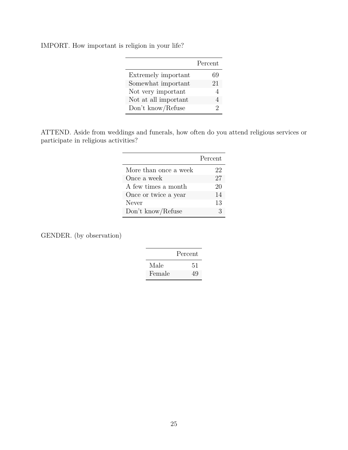IMPORT. How important is religion in your life?

|                      | Percent |
|----------------------|---------|
| Extremely important  | 69      |
| Somewhat important   | 21      |
| Not very important   |         |
| Not at all important |         |
| Don't know/Refuse    | 2       |

ATTEND. Aside from weddings and funerals, how often do you attend religious services or participate in religious activities?

|                       | Percent |
|-----------------------|---------|
| More than once a week | 22      |
| Once a week           | 27      |
| A few times a month   | 20      |
| Once or twice a year  | 14      |
| Never                 | 13      |
| Don't know/Refuse     | З       |

GENDER. (by observation)

|        | Percent |
|--------|---------|
| Male   | 51      |
| Female | 49      |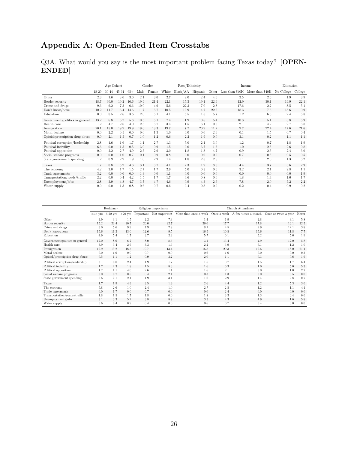# **Appendix A: Open-Ended Item Crosstabs**

Q3A. What would you say is the most important problem facing Texas today? **[OPEN-ENDED]**

|                                 | Age Cohort |           |           |       |      | Gender |       | Race/Ethnicity |          |       | Income          | Education                  |      |         |
|---------------------------------|------------|-----------|-----------|-------|------|--------|-------|----------------|----------|-------|-----------------|----------------------------|------|---------|
|                                 | 18-29      | $30 - 44$ | $45 - 64$ | $65+$ | Male | Female | White | Black/AA       | Hispanic | Other | Less than \$40K | More than \$40K No College |      | College |
| Other                           | 2.3        | 1.6       | 3.0       | 3.0   | 2.1  | 3.0    | 2.7   | 2.0            | 2.4      | 4.0   | 2.5             | 2.6                        | 1.9  | 3.9     |
| Border security                 | 18.7       | 30.0      | 19.2      | 16.6  | 19.9 | 21.4   | 22.1  | 15.3           | 19.1     | 22.9  | 12.9            | 30.1                       | 19.9 | 22.1    |
| Crime and drugs                 | 9.6        | 6.2       | 7.3       | 6.6   | 10.0 | 4.6    | 5.6   | 22.3           | 7.0      | 2.8   | 17.6            | 2.2                        | 8.5  | 5.1     |
| Don't know/none                 | 10.2       | 11.7      | 13.4      | 14.6  | 11.7 | 13.7   | 10.5  | 19.9           | 14.7     | 22.2  | 18.3            | 7.6                        | 13.6 | 10.9    |
| Education                       | 0.0        | 8.5       | 2.6       | 3.6   | 2.0  | 5.1    | 4.1   | 5.5            | 1.8      | 5.7   | 1.2             | 6.3                        | 2.4  | 5.8     |
| Government/politics in general  | 13.2       | 6.8       | 6.7       | 5.8   | 10.5 | 5.1    | 7.4   | 1.9            | 10.6     | 5.4   | 10.3            | 5.1                        | 8.8  | 5.9     |
| Health care                     | 1.2        | 4.7       | 2.6       | 4.0   | 2.5  | 3.7    | 3.4   | 1.5            | 3.1      | 0.0   | 2.1             | 4.2                        | 2.7  | 3.8     |
| Immigration                     | 20.1       | 15.0      | 19.9      | 19.9  | 19.6 | 18.3   | 19.7  | 7.7            | 20.9     | 11.2  | 9.7             | 22.4                       | 17.6 | 21.6    |
| Moral decline                   | 0.0        | 2.2       | 0.5       | 0.0   | 0.0  | 1.3    | 1.0   | 0.0            | 0.0      | 2.6   | 0.1             | 1.5                        | 0.7  | 0.4     |
| Opioid/prescription drug abuse  | 0.0        | 2.1       | 1.5       | 0.7   | 1.0  | 1.2    | 0.6   | 2.2            | 1.9      | 0.0   | 3.1             | 0.2                        | 1.1  | 1.1     |
| Political corruption/leadership | 2.8        | 1.6       | 1.6       | 1.7   | 1.1  | 2.7    | 1.3   | 5.0            | 2.1      | 3.0   | 1.2             | 0.7                        | 1.8  | 1.9     |
| Political incivility            | 6.6        | 0.0       | 1.5       | 0.5   | 3.0  | 0.9    | 1.5   | 0.0            | 3.7      | 1.6   | 1.0             | 2.5                        | 2.6  | 0.8     |
| Political opposition            | 0.0        | 2.2       | 2.7       | 4.9   | 2.5  | 2.6    | 3.0   | 1.8            | 1.8      | 4.7   | 0.9             | 2.5                        | 2.4  | 3.0     |
| Social welfare programs         | 0.0        | 0.0       | 1.0       | 0.7   | 0.1  | 0.9    | 0.8   | 0.0            | 0.0      | 0.0   | 0.7             | 0.5                        | 0.5  | 0.5     |
| State government spending       | 1.2        | 0.9       | 2.9       | 1.9   | 1.0  | 2.9    | 1.4   | 1.8            | 2.8      | 2.6   | 1.1             | 2.0                        | 1.3  | 3.2     |
| Taxes                           | 1.7        | 0.8       | 5.2       | 4.3   | 3.1  | 3.7    | 4.1   | 2.3            | 1.9      | 8.8   | 4.4             | 3.7                        | 3.6  | 2.9     |
| The economy                     | 4.2        | 2.0       | 1.7       | 1.5   | 2.7  | 1.7    | 2.9   | 5.0            | 0.3      | 0.0   | 3.2             | 2.1                        | 2.8  | 1.1     |
| Trade agreements                | 3.2        | 0.0       | 0.0       | 0.0   | 1.3  | 0.0    | 1.1   | 0.0            | 0.0      | 0.0   | 0.0             | 0.0                        | 0.0  | 1.9     |
| Transportation/roads/traffic    | 2.2        | 0.0       | 0.4       | 4.2   | 1.5  | 1.7    | 1.7   | 4.6            | 0.8      | 0.0   | 1.8             | 1.4                        | 1.6  | 1.7     |
| Unemployment/jobs               | 2.8        | 3.9       | 4.8       | 4.7   | 3.7  | 4.7    | 4.6   | 0.9            | 4.3      | 2.6   | 7.8             | 2.0                        | 5.2  | 2.2     |
| Water supply                    | 0.0        | 0.0       | 1.3       | 0.8   | 0.6  | 0.7    | 0.6   | 0.4            | 0.8      | 0.0   | 0.2             | 0.4                        | 0.9  | 0.2     |

|                                 |                    | Residency  |           |      | Religious Importance    | Church Attendance                                     |      |      |                      |       |  |  |
|---------------------------------|--------------------|------------|-----------|------|-------------------------|-------------------------------------------------------|------|------|----------------------|-------|--|--|
|                                 | $\epsilon = 5$ vrs | $5-20$ yrs | $>20$ yrs |      | Important Not important | More than once a week Once a week A few times a month |      |      | Once or twice a year | Never |  |  |
| Other                           | 4.9                | 3.1        | 1.5       | 2.2  | 7.3                     | 1.4                                                   | 1.9  | 2.8  | 3.1                  | 5.8   |  |  |
| Border security                 | 15.2               | 22.4       | 20.7      | 20.0 | 22.7                    | 26.0                                                  | 17.7 | 17.8 | 16.1                 | 22.5  |  |  |
| Crime and drugs                 | 3.0                | 5.6        | 9.9       | 7.9  | 2.9                     | 8.1                                                   | 4.5  | 9.9  | 12.1                 | 3.8   |  |  |
| Don't know/none                 | 15.6               | 11.3       | 13.0      | 12.6 | 9.5                     | 16.5                                                  | 10.5 | 15.6 | 11.8                 | 7.7   |  |  |
| Education                       | 4.9                | 5.4        | 1.7       | 3.7  | 2.2                     | 5.7                                                   | 0.1  | 5.2  | 5.6                  | 1.9   |  |  |
| Government/politics in general  | 12.0               | 8.6        | 6.2       | 8.0  | 8.6                     | 3.1                                                   | 13.4 | 4.9  | 12.0                 | 5.8   |  |  |
| Health care                     | 3.9                | 3.4        | 2.6       | 3.3  | 1.6                     | 2.2                                                   | 3.9  | 6.1  | 1.2                  | 1.0   |  |  |
| Immigration                     | 19.9               | 19.2       | 18.5      | 19.7 | 13.4                    | 16.8                                                  | 20.3 | 19.6 | 18.0                 | 21.1  |  |  |
| Moral decline                   | 0.0                | 1.6        | 0.0       | 0.7  | 0.0                     | 0.6                                                   | 1.6  | 0.0  | 0.0                  | 0.3   |  |  |
| Opioid/prescription drug abuse  | 0.5                | 1.1        | 1.2       | 0.9  | 3.7                     | 2.0                                                   | 1.1  | 0.3  | 0.6                  | 1.6   |  |  |
| Political corruption/leadership | 3.1                | 0.8        | 2.4       | 1.9  | 1.7                     | 1.5                                                   | 0.7  | 1.5  | 1.7                  | 6.4   |  |  |
| Political incivility            | 1.7                | 2.3        | 1.8       | 1.5  | 8.3                     | 1.6                                                   | 0.3  | 1.0  | 5.0                  | 5.3   |  |  |
| Political opposition            | 1.7                | 1.1        | 4.0       | 2.6  | 1.1                     | 1.6                                                   | 2.1  | 5.0  | 1.0                  | 2.7   |  |  |
| Social welfare programs         | 0.0                | 0.7        | 0.5       | 0.4  | 2.1                     | 0.3                                                   | 1.3  | 0.0  | 0.5                  | 0.0   |  |  |
| State government spending       | 0.6                | 2.1        | 2.1       | 1.9  | 3.1                     | $1.6\,$                                               | 2.9  | 1.4  | 2.8                  | 0.7   |  |  |
| Taxes                           | 1.7                | 1.9        | 4.9       | 3.5  | 1.9                     | 2.6                                                   | 4.4  | 1.2  | 5.3                  | 3.0   |  |  |
| The economy                     | 5.8                | 2.6        | 1.0       | 2.4  | 1.0                     | 2.7                                                   | 2.5  | 1.2  | 1.1                  | 4.4   |  |  |
| Trade agreements                | 0.0                | 1.7        | 0.0       | 0.7  | 0.0                     | 0.0                                                   | 2.4  | 0.0  | 0.0                  | 0.0   |  |  |
| Transportation/roads/traffic    | 1.8                | 1.5        | 1.7       | 1.8  | 0.0                     | 1.8                                                   | 3.3  | 1.3  | 0.4                  | 0.0   |  |  |
| Unemployment/jobs               | 3.1                | 3.3        | 5.2       | 3.8  | 8.9                     | 3.3                                                   | 4.3  | 4.9  | 1.6                  | 5.8   |  |  |
| Water supply                    | 0.6                | 0.4        | 0.9       | 0.4  | 0.0                     | 0.6                                                   | 0.7  | 0.4  | 0.0                  | 0.0   |  |  |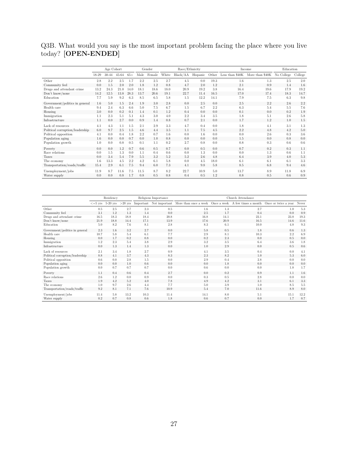Q3B. What would you say is the most important problem facing the place where you live today? **[OPEN-ENDED]**

|                                 |       | Age Cohort |           |       |      | Gender |       | Race/Ethnicity    |      |       |                  | Income          | Education  |         |
|---------------------------------|-------|------------|-----------|-------|------|--------|-------|-------------------|------|-------|------------------|-----------------|------------|---------|
|                                 | 18-29 | 30-44      | $45 - 64$ | $65+$ | Male | Female | White | Black/AA Hispanic |      | Other | Less than $$40K$ | More than \$40K | No College | College |
| Other                           | 2.8   | 2.2        | 2.5       |       | 2.2  | 2.5    | 2.7   | 4.5               | 0.0  | 19.3  | 1.6              | 1.3             | 2.5        | 2.0     |
| Community feel                  | 0.0   | 1.5        | 2.0       | 2.0   | 1.8  | 1.2    | 0.8   | 4.7               | 2.0  | 1.2   | 2.1              | 0.9             | 1.4        | 1.6     |
| Drugs and attendant crime       | 13.2  | 24.3       | 21.0      | 14.0  | 18.1 | 18.6   | 18.0  | 20.9              | 19.2 | 3.8   | 16.4             | 19.6            | 17.9       | 19.2    |
| Don't know/none                 | 14.2  | 12.5       | 13.8      | 28.3  | 13.7 | 20.6   | 19.1  | 22.7              | 11.4 | 16.5  | 17.0             | 17.4            | 18.3       | 14.7    |
| Education                       | 7.7   | 5.9        | 9.2       | 6.3   | 8.5  | 6.5    | 5.8   | 1.5               | 12.2 | 14.1  | 7.9              | 7.5             | 6.3        | 9.8     |
| Government/politics in general  | 1.6   | 5.0        | 1.5       | 2.4   | 1.9  | 3.0    | 2.8   | 0.0               | 2.5  | 0.0   | 2.5              | 2.2             | 2.6        | 2.2     |
| Health care                     | 9.4   | 2.4        | 6.3       | 6.6   | 5.0  | 7.5    | 6.7   | 1.5               | 6.7  | 2.2   | 6.3              | 5.4             | 5.5        | 7.6     |
| Housing                         | 3.0   | 0.0        | 0.2       | 0.1   | 1.4  | 0.1    | 1.2   | 0.4               | 0.0  | 0.0   | 0.1              | 0.0             | 0.2        | 1.9     |
| Immigration                     | 1.1   | 2.3        | 5.1       | 5.1   | 4.3  | 3.0    | 4.0   | 2.2               | 3.4  | 3.5   | 1.8              | 5.1             | 2.6        | 5.8     |
| Infrastructure                  | 1.1   | 0.0        | 2.7       | 0.0   | 0.9  | 1.4    | 0.8   | 0.7               | 2.1  | 0.0   | 1.7              | 1.2             | 1.0        | 1.5     |
| Lack of resources               | 4.1   | 4.3        | 1.1       | 1.5   | 2.1  | 2.9    | 3.3   | 4.7               | 0.4  | 0.0   | 1.8              | 4.1             | 3.1        | 1.3     |
| Political corruption/leadership | 6.0   | 9.7        | 2.5       | 1.5   | 4.6  | 4.4    | 3.5   | 1.1               | 7.5  | 4.5   | 2.2              | 4.8             | 4.2        | 5.0     |
| Political opposition            | 4.1   | 0.0        | 0.4       | 1.8   | 2.2  | 0.7    | 1.6   | 0.0               | 1.6  | 0.0   | 0.0              | 2.6             | 0.3        | 3.6     |
| Population aging                | 1.6   | 0.0        | 0.0       | 0.7   | 0.0  | 1.0    | 0.8   | 0.0               | 0.0  | 0.0   | 1.5              | 0.0             | 0.8        | 0.0     |
| Population growth               | 1.0   | 0.0        | 0.8       | 0.5   | 0.1  | 1.1    | 0.2   | 2.7               | 0.8  | 0.0   | 0.8              | 0.3             | 0.6        | 0.6     |
| Poverty                         | 0.0   | 0.0        | 1.2       | 0.7   | 0.6  | 0.5    | 0.7   | 0.0               | 0.5  | 0.0   | 0.7              | 0.2             | 0.3        | 1.1     |
| Race relations                  | 0.0   | 1.5        | 1.3       | 0.0   | 1.1  | 0.4    | 0.6   | 0.0               | 1.3  | 0.0   | 0.0              | 1.3             | 0.6        | 1.1     |
| Taxes                           | 0.0   | 3.4        | 5.4       | 7.9   | 5.5  | 3.2    | 5.2   | 5.2               | 2.6  | 4.8   | 6.4              | 3.9             | 4.0        | 5.3     |
| The economy                     | 1.6   | 13.3       | 4.5       | 2.2   | 4.2  | 6.1    | 5.8   | 0.0               | 4.5  | 18.0  | 6.1              | 6.1             | 6.1        | 3.3     |
| Transportation/roads/traffic    | 15.4  | 2.9        | 6.1       | 7.5   | 9.4  | 6.0    | 7.3   | 4.1               | 9.8  | 5.8   | 8.5              | 6.8             | 9.4        | 4.6     |
| Unemployment/jobs               | 11.9  | 8.7        | 11.6      | 7.5   | 11.5 | 8.7    | 8.2   | 22.7              | 10.9 | 5.0   | 13.7             | 8.9             | 11.8       | 6.9     |
| Water supply                    | 0.0   | 0.0        | 0.8       | 1.7   | 0.8  | 0.5    | 0.8   | 0.4               | 0.5  | 1.2   | 0.8              | 0.5             | 0.6        | 0.9     |

|                                 |                    | Residency  |           |      | Religious Importance |                                               | Church Attendance |                                 |                      |       |  |  |  |  |
|---------------------------------|--------------------|------------|-----------|------|----------------------|-----------------------------------------------|-------------------|---------------------------------|----------------------|-------|--|--|--|--|
|                                 | $\epsilon = 5$ vrs | $5-20$ yrs | $>20$ yrs |      |                      | Important Not important More than once a week |                   | Once a week A few times a month | Once or twice a year | Never |  |  |  |  |
| Other                           | 0.5                | 2.5        | 2.7       | 2.3  | 0.5                  | 1.6                                           | 1.3               | 2.7                             | 1.0                  | 5.3   |  |  |  |  |
| Community feel                  | 3.1                | 1.2        | 1.3       | 1.4  | 0.0                  | 2.5                                           | 1.7               | 0.4                             | 0.0                  | 0.9   |  |  |  |  |
| Drugs and attendant crime       | 16.5               | 18.3       | 18.8      | 18.4 | 20.8                 | 16.8                                          | 14.1              | 23.1                            | 23.8                 | 19.3  |  |  |  |  |
| Don't know/none                 | 21.9               | 18.8       | 14.4      | 17.1 | 13.9                 | 17.6                                          | 20.9              | 16.5                            | 14.6                 | 11.6  |  |  |  |  |
| Education                       | 5.0                | 8.2        | 7.6       | 8.1  | 2.8                  | 8.3                                           | 6.1               | 10.0                            | 4.8                  | 9.3   |  |  |  |  |
| Government/politics in general  | 2.3                | 1.6        | 3.2       | 2.7  | 0.0                  | 5.8                                           | 0.5               | 1.8                             | 0.6                  | 1.3   |  |  |  |  |
| Health care                     | 10.7               | 5.8        | 5.4       | 6.1  | 7.7                  | 2.9                                           | 8.1               | 10.3                            | 2.2                  | 6.9   |  |  |  |  |
| Housing                         | 0.0                | 1.7        | 0.2       | 0.8  | 0.0                  | 0.2                                           | 2.3               | 0.0                             | 0.5                  | 0.0   |  |  |  |  |
| Immigration                     | 1.2                | 2.3        | 5.4       | 3.8  | 2.9                  | 3.2                                           | 3.5               | 6.4                             | 3.6                  | 1.8   |  |  |  |  |
| Infrastructure                  | 0.0                | 1.3        | 1.4       | 1.3  | 0.0                  | 1.0                                           | 2.9               | 0.0                             | 0.5                  | 0.6   |  |  |  |  |
| Lack of resources               | 2.1                | 3.4        | 1.8       | 2.7  | 0.9                  | 4.1                                           | 3.5               | 0.4                             | 0.0                  | 4.1   |  |  |  |  |
| Political corruption/leadership | 8.8                | 4.1        | 3.7       | 4.3  | 8.3                  | 2.3                                           | 8.2               | 1.0                             | 5.3                  | 6.0   |  |  |  |  |
| Political opposition            | 0.6                | 0.0        | 2.8       | 1.5  | 0.0                  | 2.9                                           | 0.4               | 2.8                             | 0.0                  | 0.0   |  |  |  |  |
| Population aging                | 0.0                | 0.0        | 1.0       | 0.6  | 0.0                  | 0.0                                           | 1.8               | 0.0                             | 0.0                  | 0.0   |  |  |  |  |
| Population growth               | 0.0                | 0.7        | 0.7       | 0.7  | 0.0                  | 0.6                                           | 0.0               | 0.0                             | 1.8                  | 1.7   |  |  |  |  |
| Poverty                         | 1.1                | 0.4        | 0.6       | 0.4  | 2.7                  | 0.0                                           | 0.2               | 0.9                             | 1.1                  | 1.6   |  |  |  |  |
| Race relations                  | 2.6                | 1.2        | 0.0       | 0.9  | 0.0                  | 0.3                                           | 0.5               | 2.8                             | 0.0                  | 0.0   |  |  |  |  |
| Taxes                           | 1.9                | 4.2        | 5.2       | 4.0  | 7.8                  | 4.9                                           | 4.2               | 3.1                             | 6.1                  | 3.3   |  |  |  |  |
| The economy                     | 1.0                | 9.7        | 2.6       | 4.4  | 7.7                  | 5.0                                           | 3.9               | 1.0                             | 8.5                  | 5.5   |  |  |  |  |
| Transportation/roads/traffic    | 9.2                | 8.1        | 7.1       | 7.6  | 10.9                 | 5.4                                           | 7.0               | 11.6                            | 8.9                  | 8.0   |  |  |  |  |
| Unemployment/jobs               | 11.4               | 5.8        | 13.2      | 10.3 | 11.4                 | 14.1                                          | 8.0               | 5.1                             | 15.1                 | 12.2  |  |  |  |  |
| Water supply                    | 0.2                | 0.7        | 0.8       | 0.6  | 1.8                  | 0.6                                           | 0.7               | 0.0                             | 1.7                  | 0.7   |  |  |  |  |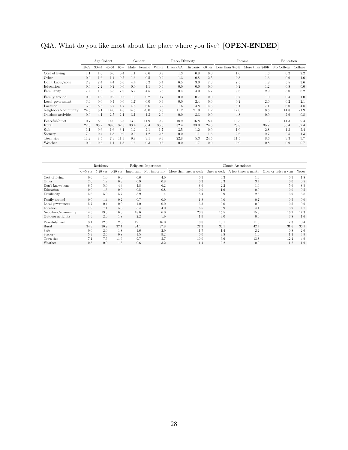Q4A. What do you like most about the place where you live? **[OPEN-ENDED]**

|                     |       | Age Cohort |         |       |      | Gender |       | Race/Ethnicity |          |      |      | Income                                           | Education |         |
|---------------------|-------|------------|---------|-------|------|--------|-------|----------------|----------|------|------|--------------------------------------------------|-----------|---------|
|                     | 18-29 | $30 - 44$  | 45-64   | $65+$ | Male | Female | White | Black/AA       | Hispanic |      |      | Other Less than \$40K More than \$40K No College |           | College |
| Cost of living      | 1.1   | 1.6        | 0.6     | 0.4   |      | 0.6    | 0.9   | 1.3            | 0.8      | 0.0  | 1.0  | 1.3                                              | 0.2       | 2.2     |
| Other               | 0.0   | 1.6        | 1.4     | 0.5   | 1.3  | 0.5    | 0.9   | 1.3            | 0.8      | 2.5  | 0.3  | 1.3                                              | 0.6       | 1.6     |
| Don't know/none     | 2.8   | 7.4        | 4.4     | 5.0   | 4.4  | 5.2    | 5.4   | 6.5            | 3.0      | 7.3  | 7.5  | 1.8                                              | 5.5       | 3.6     |
| Education           | 0.0   | 2.2        | 0.2     | 0.0   | 0.0  | 1.1    | 0.9   | 0.0            | 0.0      | 0.0  | 0.2  | 1.2                                              | 0.8       | 0.0     |
| Familiarity         | 7.4   | 1.5        | 5.5     | 7.0   | 6.2  | 4.5    | 6.8   | 0.4            | 4.0      | 5.7  | 9.6  | 2.9                                              | 5.0       | 6.2     |
| Family around       | 0.0   | 1.9        | 0.2     | 0.6   | 1.0  | 0.2    | 0.7   | 0.0            | 0.7      | 0.0  | 0.7  | 1.0                                              | 0.4       | 1.0     |
| Local government    | 3.4   | 0.0        | 0.4     | 0.0   | 1.7  | 0.0    | 0.3   | 0.0            | 2.4      | 0.0  | 0.2  | 2.0                                              | 0.2       | 2.1     |
| Location            | 3.3   | 8.6        | 5.7     | 4.7   | 4.6  | 6.6    | 6.2   | 1.6            | 4.8      | 14.5 | 5.1  | 7.1                                              | 6.0       | 4.8     |
| Neighbors/community | 24.6  | 18.1       | 14.0    | 14.6  | 14.5 | 20.0   | 16.3  | 11.2           | 21.0     | 11.2 | 12.0 | 18.6                                             | 14.8      | 21.9    |
| Outdoor activities  | 0.0   | 4.1        | 2.5     | 2.1   | 3.1  | 1.3    | 2.0   | 0.0            | 3.3      | 0.0  | 4.8  | 0.9                                              | 2.9       | 0.8     |
| Peaceful/quiet      | 10.7  | 8.0        | 14.0    | 16.3  | 13.3 | 11.9   | 9.9   | 18.9           | 16.8     | 8.4  | 13.8 | 11.3                                             | 14.3      | 9.4     |
| Rural               | 27.0  | 35.2       | 39.6    | 32.5  | 33.4 | 35.4   | 35.6  | 32.4           | 33.0     | 24.6 | 28.8 | 35.7                                             | 35.4      | 32.4    |
| Safe                | 1.1   | 0.6        | $1.6\,$ | 3.1   | 1.2  | 2.1    | 1.7   | 3.5            | $1.2\,$  | 0.0  | 1.0  | 2.8                                              | 1.3       | 2.4     |
| Scenery             | 7.4   | 0.4        | 1.3     | 0.0   | 2.9  | 1.2    | 2.8   | 0.0            | 1.1      | 1.3  | 2.6  | 2.7                                              | 2.5       | 1.3     |
| Town size           | 11.2  | 8.5        | 7.3     | 11.9  | 9.8  | 9.1    | 9.3   | 22.8           | 5.3      | 24.5 | 11.5 | 8.6                                              | 9.3       | 9.7     |
| Weather             | 0.0   | 0.6        | 1.1     | 1.3   | 1.3  | 0.3    | 0.5   | 0.0            | 1.7      | 0.0  | 0.9  | 0.8                                              | 0.9       | 0.7     |

|                     |                    | Residency            |      |           | Religious Importance | Church Attendance                                                   |      |      |                      |       |  |  |
|---------------------|--------------------|----------------------|------|-----------|----------------------|---------------------------------------------------------------------|------|------|----------------------|-------|--|--|
|                     | $\epsilon = 5$ vrs | $5-20$ yrs $>20$ yrs |      | Important |                      | Not important More than once a week Once a week A few times a month |      |      | Once or twice a year | Never |  |  |
| Cost of living      | 0.6                | 1.0                  | 0.9  | 0.6       | 4.0                  | 0.5                                                                 | 0.3  | 1.9  | 0.5                  | 1.8   |  |  |
| Other               | 2.6                | 1.2                  | 0.3  | 0.9       | 0.8                  | 0.3                                                                 | 0.3  | 3.4  | 0.0                  | 0.5   |  |  |
| Don't know/none     | 6.5                | 5.0                  | 4.3  | 4.8       | 6.2                  | 8.6                                                                 | 2.2  | 1.9  | 5.6                  | 8.5   |  |  |
| Education           | 0.0                | 1.3                  | 0.0  | 0.5       | 0.8                  | 0.0                                                                 | 1.6  | 0.0  | 0.0                  | 0.5   |  |  |
| Familiarity         | 5.6                | 5.0                  | 5.7  | 5.9       | 1.4                  | 5.4                                                                 | 9.9  | 2.3  | 3.9                  | 3.8   |  |  |
| Family around       | 0.0                | 1.4                  | 0.2  | 0.7       | 0.0                  | 1.8                                                                 | 0.0  | 0.7  | 0.5                  | 0.0   |  |  |
| Local government    | 5.7                | 0.4                  | 0.0  | 1.0       | 0.0                  | 3.3                                                                 | 0.0  | 0.0  | 0.5                  | 0.6   |  |  |
| Location            | 1.9                | 7.1                  | 5.3  | 5.4       | 4.0                  | 6.5                                                                 | 5.9  | 4.1  | 3.9                  | 4.7   |  |  |
| Neighbors/community | 14.3               | 19.3                 | 16.3 | 18.6      | 6.0                  | 20.5                                                                | 15.5 | 15.3 | 16.7                 | 17.3  |  |  |
| Outdoor activities  | 1.9                | 2.9                  | 1.8  | 2.2       | 1.9                  | 1.9                                                                 | 3.0  | 0.0  | 3.8                  | 1.6   |  |  |
| Peaceful/quiet      | 13.1               | 12.5                 | 12.6 | 12.1      | 16.0                 | 10.8                                                                | 13.1 | 11.0 | 17.3                 | 10.4  |  |  |
| Rural               | 34.9               | 30.8                 | 37.1 | 34.1      | 37.8                 | 27.3                                                                | 36.1 | 42.4 | 31.6                 | 36.1  |  |  |
| Safe                | 0.0                | 2.0                  | 1.8  | 1.6       | 2.9                  | 1.7                                                                 | 1.4  | 2.2  | 0.8                  | 2.6   |  |  |
| Scenery             | 5.3                | 2.6                  | 0.8  | 1.5       | 9.2                  | 0.0                                                                 | 3.8  | 1.0  | 1.1                  | 4.9   |  |  |
| Town size           | 7.1                | 7.5                  | 11.6 | 9.7       | 5.7                  | 10.0                                                                | 6.6  | 13.8 | 12.4                 | 4.9   |  |  |
| Weather             | 0.5                | 0.0                  | 1.5  | 0.6       | 3.2                  | 1.4                                                                 | 0.2  | 0.0  | 1.2                  | 1.9   |  |  |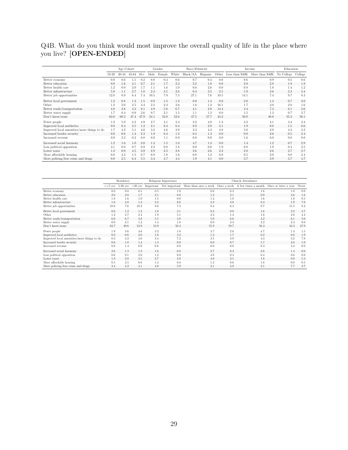Q4B. What do you think would most improve the overall quality of life in the place where you live? **[OPEN-ENDED]**

|                                            | Age Cohort |           |           |       | Gender  |        | Race/Ethnicity |                   |      |      | Income |                                                  | Education |         |
|--------------------------------------------|------------|-----------|-----------|-------|---------|--------|----------------|-------------------|------|------|--------|--------------------------------------------------|-----------|---------|
|                                            | 18-29      | $30 - 44$ | $45 - 64$ | $65+$ | Male    | Female | White          | Black/AA Hispanic |      |      |        | Other Less than \$40K More than \$40K No College |           | College |
| Better economy                             | 0.0        | 0.6       |           | 0.2   | 0.8     | 0.3    | 0.6            | 0.7               | 0.4  | 0.0  | 0.6    | 0.9                                              | 0.5       | 0.6     |
| Better education                           | 0.0        | 1.6       | 4.1       | 0.7   | 2.1     | 1.7    | 2.3            | 2.2               | 1.0  | 0.0  | 2.0    | 2.8                                              | 1.9       | 1.9     |
| Better health care                         | 1.2        | 0.0       | 2.0       | 1.7   | $1.1\,$ | 1.6    | 1.0            | 0.0               | 2.6  | 0.0  | 0.8    | 1.8                                              | 1.4       | 1.2     |
| Better infrastructure                      | 5.9        | 1.1       | 2.7       | 1.0   | 2.3     | 3.1    | 2.6            | 0.4               | 3.5  | 2.5  | 1.9    | 3.6                                              | 2.3       | 3.4     |
| Better job opportunities                   | 12.8       | 8.9       | 8.4       | 7.4   | 10.5    | 7.9    | 7.5            | 27.1              | 7.6  | 10.5 | 14.1   | 7.4                                              | 9.7       | 8.3     |
| Better local government                    | 1.2        | 0.8       | 1.2       | 1.5   | 0.9     | 1.5    | 1.2            | 0.0               | 1.4  | 0.0  | 2.0    | 1.3                                              | 0.7       | 2.0     |
| Other                                      | 1.2        | 2.0       | 2.5       | 3.4   | 2.3     | 2.4    | 2.6            | 1.8               | 1.2  | 16.1 | 1.7    | 3.0                                              | 2.8       | 1.6     |
| Better roads/transportation                | 4.8        | 3.8       | 4.3       | 8.1   | 4.9     | 5.6    | 6.7            | 4.1               | 2.0  | 14.4 | 4.4    | 7.3                                              | 6.1       | 3.6     |
| Better water supply                        | 1.7        | 0.4       | 0.9       | 2.6   | 0.7     | 2.1    | 1.5            | 1.1               | 1.2  | 0.0  | 1.5    | 1.3                                              | 0.7       | 2.7     |
| Don't know/none                            | 63.0       | 60.3      | 47.4      | 47.9  | 54.1    | 53.0   | 52.6           | 47.5              | 57.7 | 43.2 | 50.0   | 48.6                                             | 55.3      | 50.1    |
| Fewer people                               | 1.2        | 5.9       | 2.2       | 4.9   | 2.7     | 4.1    | 3.3            | 2.2               | 4.0  | 1.3  | 3.3    | 4.1                                              | 3.4       | 3.4     |
| Improved local aesthetics                  | 0.0        | 0.4       | 2.5       | 1.2   | 2.1     | 0.3    | 0.4            | 0.9               | 2.9  | 3.1  | 1.9    | 0.8                                              | 1.5       | 0.6     |
| Improved local amenities/more things to do | 1.7        | 4.2       | 5.1       | 4.0   | 3.2     | 4.6    | 3.9            | 2.3               | 4.3  | 4.8  | 5.0    | 2.9                                              | 4.3       | 3.2     |
| Increased border security                  | 0.0        | 0.6       | 1.4       | 2.3   | 1.9     | 0.4    | 1.2            | 0.4               | 1.3  | 0.0  | 0.0    | 2.6                                              | 0.5       | 2.4     |
| Increased revenue                          | 0.0        | 2.2       | 0.2       | 0.0   | 0.0     | 1.1    | 0.9            | 0.0               | 0.0  | 0.0  | 1.6    | 0.0                                              | 0.8       | 0.0     |
| Increased social harmony                   | 1.2        | 1.6       | 1.0       | 2.0   | 1.3     | 1.5    | 1.0            | 4.7               | 1.3  | 0.0  | 1.4    | 1.2                                              | 0.7       | 2.8     |
| Less political opposition                  | 3.1        | 0.0       | 0.7       | 0.9   | 2.2     | 0.0    | 1.8            | 0.0               | 0.0  | 1.9  | 0.8    | 1.9                                              | 0.4       | 2.5     |
| Lower taxes                                | 1.2        | 0.0       | 4.5       | 3.9   | 2.9     | 2.5    | 2.8            | 2.6               | 2.6  | 2.2  | 2.8    | 2.6                                              | 2.7       | 2.7     |
| More affordable housing                    | 0.0        | 3.2       | 1.5       | 0.7   | 0.9     | 1.8    | 1.6            | 0.0               | 1.2  | 0.0  | 0.5    | 2.0                                              | 0.8       | 2.4     |
| More policing/less crime and drugs         | 0.0        | 2.5       | 6.4       | 5.5   | 3.4     | 4.7    | 4.4            | 1.9               | 4.1  | 0.0  | 3.7    | 3.9                                              | 3.7       | 4.7     |

|                                            |                        | Residency  |           |      | Religious Importance | Church Attendance                                                                                  |      |      |      |       |  |
|--------------------------------------------|------------------------|------------|-----------|------|----------------------|----------------------------------------------------------------------------------------------------|------|------|------|-------|--|
|                                            | $\leq$ =5 $_{\rm VTS}$ | $5-20$ yrs | $>20$ yrs |      |                      | Important Not important More than once a week Once a week A few times a month Once or twice a year |      |      |      | Never |  |
| Better economy                             | 0.0                    | 0.8        | 0.5       | 0.5  | 1.0                  | 0.0                                                                                                | 0.3  | 1.6  | 1.0  | 0.0   |  |
| Better education                           | 2.6                    | 2.0        | 1.7       | 2.1  | 0.0                  | 1.2                                                                                                | 2.1  | 0.9  | 3.6  | 1.8   |  |
| Better health care                         | 1.8                    | 1.6        | 1.0       | 1.5  | 0.0                  | 1.4                                                                                                | 1.8  | 1.6  | 1.0  | 0.5   |  |
| Better infrastructure                      | 1.6                    | 4.8        | 1.3       | 2.2  | 8.6                  | 2.2                                                                                                | 3.0  | 0.3  | 1.9  | 7.9   |  |
| Better job opportunities                   | 10.0                   | 7.6        | 10.2      | 9.6  | 7.3                  | 9.4                                                                                                | 6.4  | 9.7  | 15.5 | 8.2   |  |
| Better local government                    | 0.6                    | 1.2        | 1.2       | 1.0  | 3.1                  | 0.3                                                                                                | 0.0  | 1.6  | 2.2  | 3.7   |  |
| Other                                      | 1.2                    | 2.7        | 2.4       | 1.9  | 5.1                  | 2.3                                                                                                | 1.4  | 1.6  | 2.0  | 4.4   |  |
| Better roads/transportation                | 6.6                    | 6.7        | 3.8       | 5.5  | 3.8                  | 5.9                                                                                                | 6.6  | 4.2  | 6.1  | 3.0   |  |
| Better water supply                        | 0.0                    | 2.1        | 1.2       | 1.4  | 1.0                  | 0.0                                                                                                | 2.3  | 2.2  | 2.4  | 0.0   |  |
| Don't know/none                            | 63.7                   | 49.6       | 53.9      | 53.9 | 50.3                 | 55.9                                                                                               | 59.7 | 56.3 | 43.3 | 47.9  |  |
| Fewer people                               | 1.9                    | 3.6        | 3.6       | 3.2  | 1.0                  | 3.7                                                                                                | 2.6  | 4.7  | 1.3  | 1.5   |  |
| Improved local aesthetics                  | 0.0                    | 0.6        | 2.0       | 1.0  | 3.2                  | 1.4                                                                                                | 1.7  | 0.2  | 0.6  | 1.9   |  |
| Improved local amenities/more things to do | 0.3                    | 4.2        | 4.6       | 3.4  | 7.2                  | 2.5                                                                                                | 2.9  | 4.3  | 3.2  | 7.8   |  |
| Increased border security                  | 0.6                    | 1.0        | 1.4       | 1.3  | 0.0                  | 0.0                                                                                                | 0.7  | 1.7  | 2.8  | 1.9   |  |
| Increased revenue                          | 0.0                    | 1.4        | 0.0       | 0.6  | 0.0                  | 0.0                                                                                                | 0.0  | 0.3  | 3.3  | 0.0   |  |
| Increased social harmony                   | 2.6                    | 1.3        | 1.2       | 1.6  | 0.0                  | 2.7                                                                                                | 0.3  | 2.6  | 1.4  | 0.0   |  |
| Less political opposition                  | 0.6                    | 0.1        | 2.0       | 1.2  | 0.0                  | 3.8                                                                                                | 0.3  | 0.4  | 0.6  | 0.0   |  |
| Lower taxes                                | 1.8                    | 2.0        | 3.5       | 2.7  | 2.9                  | 4.0                                                                                                | 2.5  | 1.8  | 0.0  | 5.3   |  |
| More affordable housing                    | 0.5                    | 2.5        | 0.6       | 1.4  | 0.8                  | 1.2                                                                                                | 0.6  | 1.8  | 0.0  | 0.5   |  |
| More policing/less crime and drugs         | 3.4                    | 4.2        | 4.1       | 4.0  | 5.0                  | 2.1                                                                                                | 4.9  | 2.1  | 7.7  | 3.7   |  |